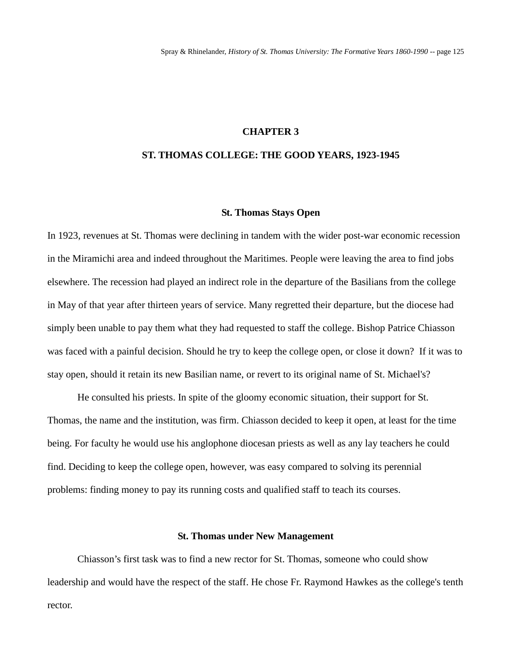#### **CHAPTER 3**

### **ST. THOMAS COLLEGE: THE GOOD YEARS, 1923-1945**

#### **St. Thomas Stays Open**

In 1923, revenues at St. Thomas were declining in tandem with the wider post-war economic recession in the Miramichi area and indeed throughout the Maritimes. People were leaving the area to find jobs elsewhere. The recession had played an indirect role in the departure of the Basilians from the college in May of that year after thirteen years of service. Many regretted their departure, but the diocese had simply been unable to pay them what they had requested to staff the college. Bishop Patrice Chiasson was faced with a painful decision. Should he try to keep the college open, or close it down? If it was to stay open, should it retain its new Basilian name, or revert to its original name of St. Michael's?

He consulted his priests. In spite of the gloomy economic situation, their support for St. Thomas, the name and the institution, was firm. Chiasson decided to keep it open, at least for the time being. For faculty he would use his anglophone diocesan priests as well as any lay teachers he could find. Deciding to keep the college open, however, was easy compared to solving its perennial problems: finding money to pay its running costs and qualified staff to teach its courses.

### **St. Thomas under New Management**

Chiasson's first task was to find a new rector for St. Thomas, someone who could show leadership and would have the respect of the staff. He chose Fr. Raymond Hawkes as the college's tenth rector.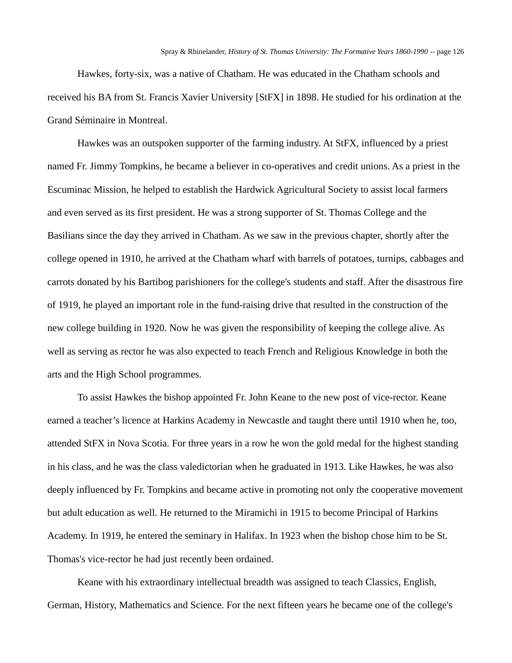Hawkes, forty-six, was a native of Chatham. He was educated in the Chatham schools and received his BA from St. Francis Xavier University [StFX] in 1898. He studied for his ordination at the Grand Séminaire in Montreal.

Hawkes was an outspoken supporter of the farming industry. At StFX, influenced by a priest named Fr. Jimmy Tompkins, he became a believer in co-operatives and credit unions. As a priest in the Escuminac Mission, he helped to establish the Hardwick Agricultural Society to assist local farmers and even served as its first president. He was a strong supporter of St. Thomas College and the Basilians since the day they arrived in Chatham. As we saw in the previous chapter, shortly after the college opened in 1910, he arrived at the Chatham wharf with barrels of potatoes, turnips, cabbages and carrots donated by his Bartibog parishioners for the college's students and staff. After the disastrous fire of 1919, he played an important role in the fund-raising drive that resulted in the construction of the new college building in 1920. Now he was given the responsibility of keeping the college alive. As well as serving as rector he was also expected to teach French and Religious Knowledge in both the arts and the High School programmes.

To assist Hawkes the bishop appointed Fr. John Keane to the new post of vice-rector. Keane earned a teacher's licence at Harkins Academy in Newcastle and taught there until 1910 when he, too, attended StFX in Nova Scotia. For three years in a row he won the gold medal for the highest standing in his class, and he was the class valedictorian when he graduated in 1913. Like Hawkes, he was also deeply influenced by Fr. Tompkins and became active in promoting not only the cooperative movement but adult education as well. He returned to the Miramichi in 1915 to become Principal of Harkins Academy. In 1919, he entered the seminary in Halifax. In 1923 when the bishop chose him to be St. Thomas's vice-rector he had just recently been ordained.

Keane with his extraordinary intellectual breadth was assigned to teach Classics, English, German, History, Mathematics and Science. For the next fifteen years he became one of the college's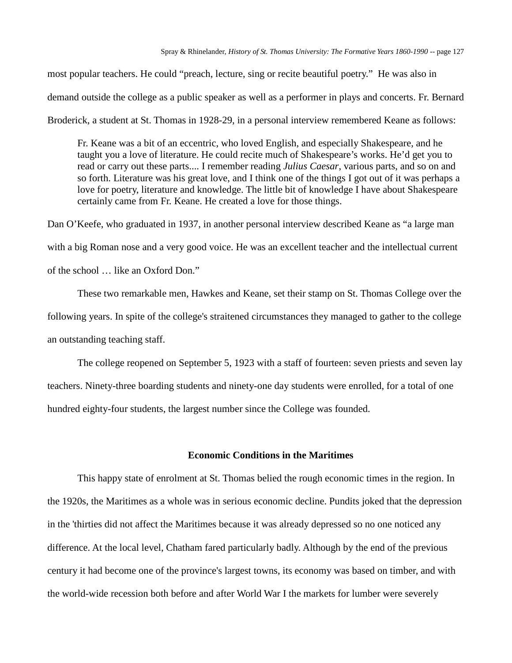most popular teachers. He could "preach, lecture, sing or recite beautiful poetry." He was also in demand outside the college as a public speaker as well as a performer in plays and concerts. Fr. Bernard

Broderick, a student at St. Thomas in 1928-29, in a personal interview remembered Keane as follows:

Fr. Keane was a bit of an eccentric, who loved English, and especially Shakespeare, and he taught you a love of literature. He could recite much of Shakespeare's works. He'd get you to read or carry out these parts.... I remember reading *Julius Caesar*, various parts, and so on and so forth. Literature was his great love, and I think one of the things I got out of it was perhaps a love for poetry, literature and knowledge. The little bit of knowledge I have about Shakespeare certainly came from Fr. Keane. He created a love for those things.

Dan O'Keefe, who graduated in 1937, in another personal interview described Keane as "a large man with a big Roman nose and a very good voice. He was an excellent teacher and the intellectual current of the school … like an Oxford Don."

These two remarkable men, Hawkes and Keane, set their stamp on St. Thomas College over the following years. In spite of the college's straitened circumstances they managed to gather to the college an outstanding teaching staff.

The college reopened on September 5, 1923 with a staff of fourteen: seven priests and seven lay teachers. Ninety-three boarding students and ninety-one day students were enrolled, for a total of one hundred eighty-four students, the largest number since the College was founded.

### **Economic Conditions in the Maritimes**

This happy state of enrolment at St. Thomas belied the rough economic times in the region. In the 1920s, the Maritimes as a whole was in serious economic decline. Pundits joked that the depression in the 'thirties did not affect the Maritimes because it was already depressed so no one noticed any difference. At the local level, Chatham fared particularly badly. Although by the end of the previous century it had become one of the province's largest towns, its economy was based on timber, and with the world-wide recession both before and after World War I the markets for lumber were severely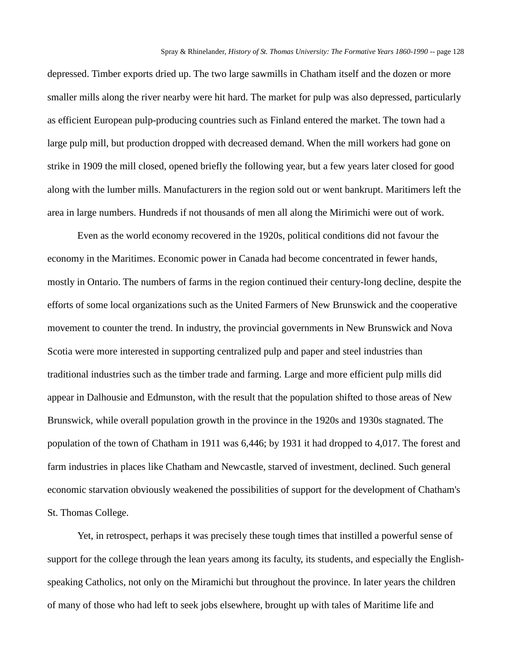depressed. Timber exports dried up. The two large sawmills in Chatham itself and the dozen or more smaller mills along the river nearby were hit hard. The market for pulp was also depressed, particularly as efficient European pulp-producing countries such as Finland entered the market. The town had a large pulp mill, but production dropped with decreased demand. When the mill workers had gone on strike in 1909 the mill closed, opened briefly the following year, but a few years later closed for good along with the lumber mills. Manufacturers in the region sold out or went bankrupt. Maritimers left the area in large numbers. Hundreds if not thousands of men all along the Mirimichi were out of work.

Even as the world economy recovered in the 1920s, political conditions did not favour the economy in the Maritimes. Economic power in Canada had become concentrated in fewer hands, mostly in Ontario. The numbers of farms in the region continued their century-long decline, despite the efforts of some local organizations such as the United Farmers of New Brunswick and the cooperative movement to counter the trend. In industry, the provincial governments in New Brunswick and Nova Scotia were more interested in supporting centralized pulp and paper and steel industries than traditional industries such as the timber trade and farming. Large and more efficient pulp mills did appear in Dalhousie and Edmunston, with the result that the population shifted to those areas of New Brunswick, while overall population growth in the province in the 1920s and 1930s stagnated. The population of the town of Chatham in 1911 was 6,446; by 1931 it had dropped to 4,017. The forest and farm industries in places like Chatham and Newcastle, starved of investment, declined. Such general economic starvation obviously weakened the possibilities of support for the development of Chatham's St. Thomas College.

Yet, in retrospect, perhaps it was precisely these tough times that instilled a powerful sense of support for the college through the lean years among its faculty, its students, and especially the Englishspeaking Catholics, not only on the Miramichi but throughout the province. In later years the children of many of those who had left to seek jobs elsewhere, brought up with tales of Maritime life and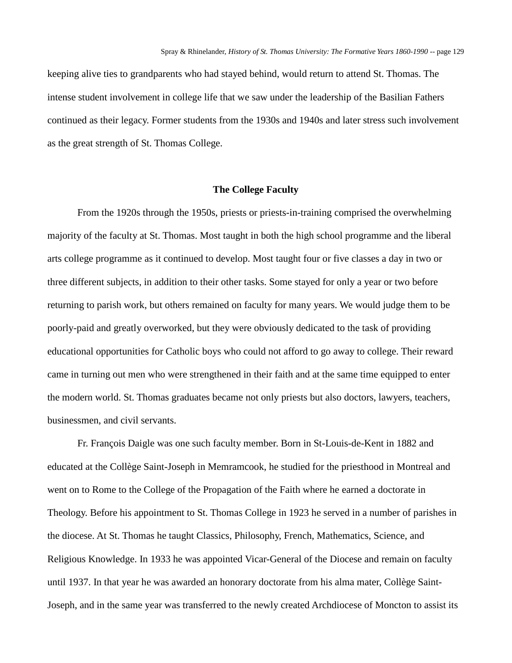keeping alive ties to grandparents who had stayed behind, would return to attend St. Thomas. The intense student involvement in college life that we saw under the leadership of the Basilian Fathers continued as their legacy. Former students from the 1930s and 1940s and later stress such involvement as the great strength of St. Thomas College.

### **The College Faculty**

From the 1920s through the 1950s, priests or priests-in-training comprised the overwhelming majority of the faculty at St. Thomas. Most taught in both the high school programme and the liberal arts college programme as it continued to develop. Most taught four or five classes a day in two or three different subjects, in addition to their other tasks. Some stayed for only a year or two before returning to parish work, but others remained on faculty for many years. We would judge them to be poorly-paid and greatly overworked, but they were obviously dedicated to the task of providing educational opportunities for Catholic boys who could not afford to go away to college. Their reward came in turning out men who were strengthened in their faith and at the same time equipped to enter the modern world. St. Thomas graduates became not only priests but also doctors, lawyers, teachers, businessmen, and civil servants.

Fr. François Daigle was one such faculty member. Born in St-Louis-de-Kent in 1882 and educated at the Collège Saint-Joseph in Memramcook, he studied for the priesthood in Montreal and went on to Rome to the College of the Propagation of the Faith where he earned a doctorate in Theology. Before his appointment to St. Thomas College in 1923 he served in a number of parishes in the diocese. At St. Thomas he taught Classics, Philosophy, French, Mathematics, Science, and Religious Knowledge. In 1933 he was appointed Vicar-General of the Diocese and remain on faculty until 1937. In that year he was awarded an honorary doctorate from his alma mater, Collège Saint-Joseph, and in the same year was transferred to the newly created Archdiocese of Moncton to assist its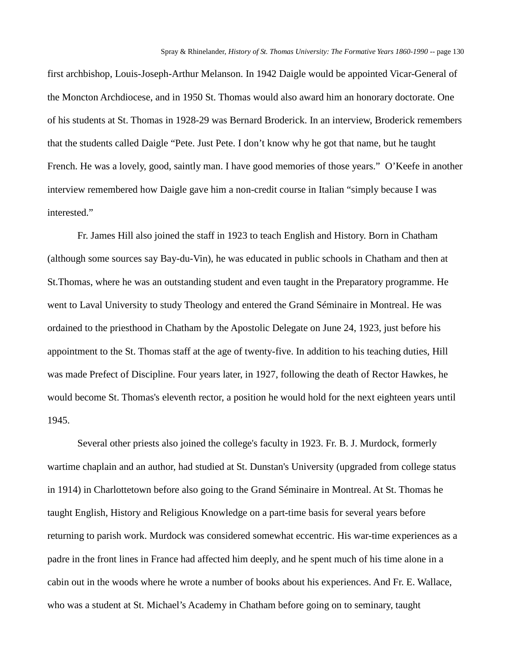first archbishop, Louis-Joseph-Arthur Melanson. In 1942 Daigle would be appointed Vicar-General of the Moncton Archdiocese, and in 1950 St. Thomas would also award him an honorary doctorate. One of his students at St. Thomas in 1928-29 was Bernard Broderick. In an interview, Broderick remembers that the students called Daigle "Pete. Just Pete. I don't know why he got that name, but he taught French. He was a lovely, good, saintly man. I have good memories of those years." O'Keefe in another interview remembered how Daigle gave him a non-credit course in Italian "simply because I was interested."

Fr. James Hill also joined the staff in 1923 to teach English and History. Born in Chatham (although some sources say Bay-du-Vin), he was educated in public schools in Chatham and then at St.Thomas, where he was an outstanding student and even taught in the Preparatory programme. He went to Laval University to study Theology and entered the Grand Séminaire in Montreal. He was ordained to the priesthood in Chatham by the Apostolic Delegate on June 24, 1923, just before his appointment to the St. Thomas staff at the age of twenty-five. In addition to his teaching duties, Hill was made Prefect of Discipline. Four years later, in 1927, following the death of Rector Hawkes, he would become St. Thomas's eleventh rector, a position he would hold for the next eighteen years until 1945.

Several other priests also joined the college's faculty in 1923. Fr. B. J. Murdock, formerly wartime chaplain and an author, had studied at St. Dunstan's University (upgraded from college status in 1914) in Charlottetown before also going to the Grand Séminaire in Montreal. At St. Thomas he taught English, History and Religious Knowledge on a part-time basis for several years before returning to parish work. Murdock was considered somewhat eccentric. His war-time experiences as a padre in the front lines in France had affected him deeply, and he spent much of his time alone in a cabin out in the woods where he wrote a number of books about his experiences. And Fr. E. Wallace, who was a student at St. Michael's Academy in Chatham before going on to seminary, taught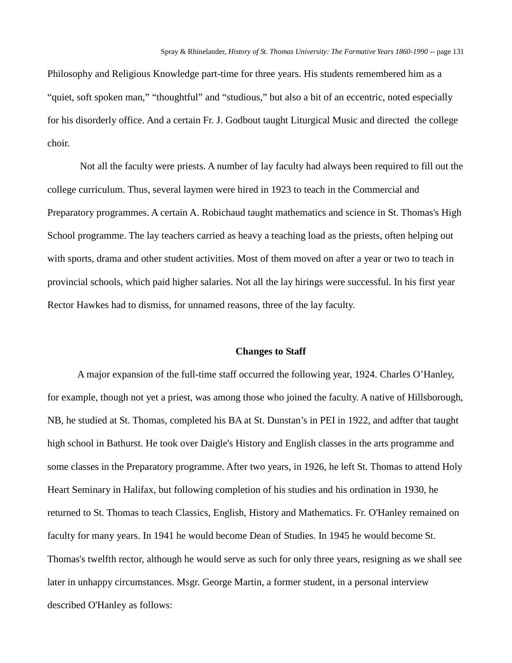Philosophy and Religious Knowledge part-time for three years. His students remembered him as a "quiet, soft spoken man," "thoughtful" and "studious," but also a bit of an eccentric, noted especially for his disorderly office. And a certain Fr. J. Godbout taught Liturgical Music and directed the college choir.

Not all the faculty were priests. A number of lay faculty had always been required to fill out the college curriculum. Thus, several laymen were hired in 1923 to teach in the Commercial and Preparatory programmes. A certain A. Robichaud taught mathematics and science in St. Thomas's High School programme. The lay teachers carried as heavy a teaching load as the priests, often helping out with sports, drama and other student activities. Most of them moved on after a year or two to teach in provincial schools, which paid higher salaries. Not all the lay hirings were successful. In his first year Rector Hawkes had to dismiss, for unnamed reasons, three of the lay faculty.

#### **Changes to Staff**

A major expansion of the full-time staff occurred the following year, 1924. Charles O'Hanley, for example, though not yet a priest, was among those who joined the faculty. A native of Hillsborough, NB, he studied at St. Thomas, completed his BA at St. Dunstan's in PEI in 1922, and adfter that taught high school in Bathurst. He took over Daigle's History and English classes in the arts programme and some classes in the Preparatory programme. After two years, in 1926, he left St. Thomas to attend Holy Heart Seminary in Halifax, but following completion of his studies and his ordination in 1930, he returned to St. Thomas to teach Classics, English, History and Mathematics. Fr. O'Hanley remained on faculty for many years. In 1941 he would become Dean of Studies. In 1945 he would become St. Thomas's twelfth rector, although he would serve as such for only three years, resigning as we shall see later in unhappy circumstances. Msgr. George Martin, a former student, in a personal interview described O'Hanley as follows: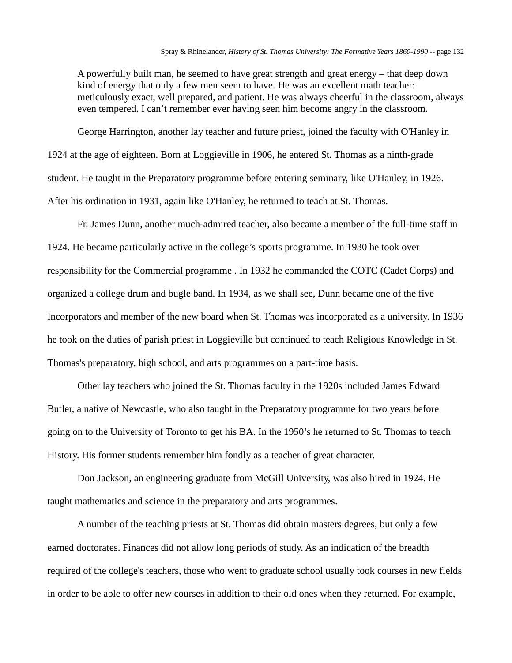A powerfully built man, he seemed to have great strength and great energy – that deep down kind of energy that only a few men seem to have. He was an excellent math teacher: meticulously exact, well prepared, and patient. He was always cheerful in the classroom, always even tempered. I can't remember ever having seen him become angry in the classroom.

George Harrington, another lay teacher and future priest, joined the faculty with O'Hanley in 1924 at the age of eighteen. Born at Loggieville in 1906, he entered St. Thomas as a ninth-grade student. He taught in the Preparatory programme before entering seminary, like O'Hanley, in 1926. After his ordination in 1931, again like O'Hanley, he returned to teach at St. Thomas.

Fr. James Dunn, another much-admired teacher, also became a member of the full-time staff in 1924. He became particularly active in the college's sports programme. In 1930 he took over responsibility for the Commercial programme . In 1932 he commanded the COTC (Cadet Corps) and organized a college drum and bugle band. In 1934, as we shall see, Dunn became one of the five Incorporators and member of the new board when St. Thomas was incorporated as a university. In 1936 he took on the duties of parish priest in Loggieville but continued to teach Religious Knowledge in St. Thomas's preparatory, high school, and arts programmes on a part-time basis.

Other lay teachers who joined the St. Thomas faculty in the 1920s included James Edward Butler, a native of Newcastle, who also taught in the Preparatory programme for two years before going on to the University of Toronto to get his BA. In the 1950's he returned to St. Thomas to teach History. His former students remember him fondly as a teacher of great character.

Don Jackson, an engineering graduate from McGill University, was also hired in 1924. He taught mathematics and science in the preparatory and arts programmes.

A number of the teaching priests at St. Thomas did obtain masters degrees, but only a few earned doctorates. Finances did not allow long periods of study. As an indication of the breadth required of the college's teachers, those who went to graduate school usually took courses in new fields in order to be able to offer new courses in addition to their old ones when they returned. For example,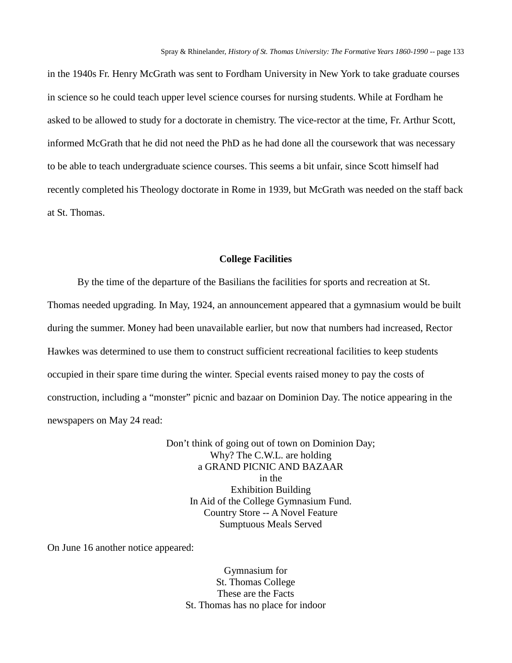in the 1940s Fr. Henry McGrath was sent to Fordham University in New York to take graduate courses in science so he could teach upper level science courses for nursing students. While at Fordham he asked to be allowed to study for a doctorate in chemistry. The vice-rector at the time, Fr. Arthur Scott, informed McGrath that he did not need the PhD as he had done all the coursework that was necessary to be able to teach undergraduate science courses. This seems a bit unfair, since Scott himself had recently completed his Theology doctorate in Rome in 1939, but McGrath was needed on the staff back at St. Thomas.

### **College Facilities**

By the time of the departure of the Basilians the facilities for sports and recreation at St. Thomas needed upgrading. In May, 1924, an announcement appeared that a gymnasium would be built during the summer. Money had been unavailable earlier, but now that numbers had increased, Rector Hawkes was determined to use them to construct sufficient recreational facilities to keep students occupied in their spare time during the winter. Special events raised money to pay the costs of construction, including a "monster" picnic and bazaar on Dominion Day. The notice appearing in the newspapers on May 24 read:

> Don't think of going out of town on Dominion Day; Why? The C.W.L. are holding a GRAND PICNIC AND BAZAAR in the Exhibition Building In Aid of the College Gymnasium Fund. Country Store -- A Novel Feature Sumptuous Meals Served

On June 16 another notice appeared:

Gymnasium for St. Thomas College These are the Facts St. Thomas has no place for indoor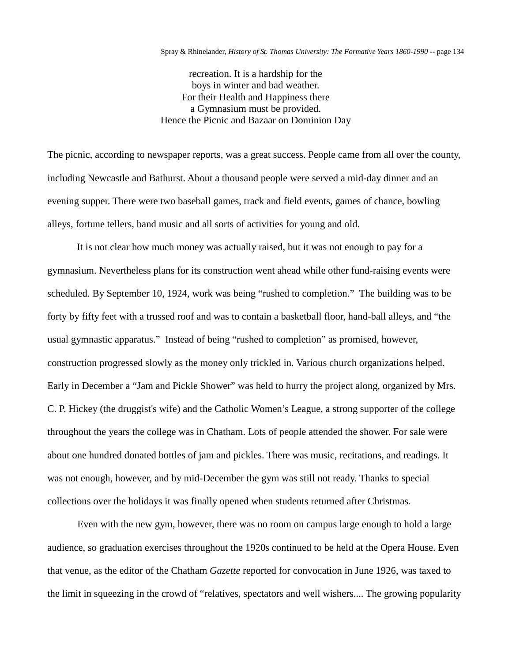recreation. It is a hardship for the boys in winter and bad weather. For their Health and Happiness there a Gymnasium must be provided. Hence the Picnic and Bazaar on Dominion Day

The picnic, according to newspaper reports, was a great success. People came from all over the county, including Newcastle and Bathurst. About a thousand people were served a mid-day dinner and an evening supper. There were two baseball games, track and field events, games of chance, bowling alleys, fortune tellers, band music and all sorts of activities for young and old.

It is not clear how much money was actually raised, but it was not enough to pay for a gymnasium. Nevertheless plans for its construction went ahead while other fund-raising events were scheduled. By September 10, 1924, work was being "rushed to completion." The building was to be forty by fifty feet with a trussed roof and was to contain a basketball floor, hand-ball alleys, and "the usual gymnastic apparatus." Instead of being "rushed to completion" as promised, however, construction progressed slowly as the money only trickled in. Various church organizations helped. Early in December a "Jam and Pickle Shower" was held to hurry the project along, organized by Mrs. C. P. Hickey (the druggist's wife) and the Catholic Women's League, a strong supporter of the college throughout the years the college was in Chatham. Lots of people attended the shower. For sale were about one hundred donated bottles of jam and pickles. There was music, recitations, and readings. It was not enough, however, and by mid-December the gym was still not ready. Thanks to special collections over the holidays it was finally opened when students returned after Christmas.

Even with the new gym, however, there was no room on campus large enough to hold a large audience, so graduation exercises throughout the 1920s continued to be held at the Opera House. Even that venue, as the editor of the Chatham *Gazette* reported for convocation in June 1926, was taxed to the limit in squeezing in the crowd of "relatives, spectators and well wishers.... The growing popularity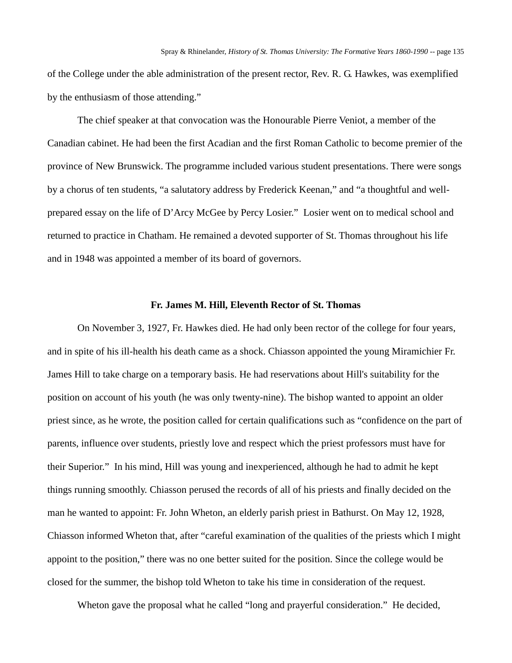of the College under the able administration of the present rector, Rev. R. G. Hawkes, was exemplified by the enthusiasm of those attending."

The chief speaker at that convocation was the Honourable Pierre Veniot, a member of the Canadian cabinet. He had been the first Acadian and the first Roman Catholic to become premier of the province of New Brunswick. The programme included various student presentations. There were songs by a chorus of ten students, "a salutatory address by Frederick Keenan," and "a thoughtful and wellprepared essay on the life of D'Arcy McGee by Percy Losier." Losier went on to medical school and returned to practice in Chatham. He remained a devoted supporter of St. Thomas throughout his life and in 1948 was appointed a member of its board of governors.

### **Fr. James M. Hill, Eleventh Rector of St. Thomas**

On November 3, 1927, Fr. Hawkes died. He had only been rector of the college for four years, and in spite of his ill-health his death came as a shock. Chiasson appointed the young Miramichier Fr. James Hill to take charge on a temporary basis. He had reservations about Hill's suitability for the position on account of his youth (he was only twenty-nine). The bishop wanted to appoint an older priest since, as he wrote, the position called for certain qualifications such as "confidence on the part of parents, influence over students, priestly love and respect which the priest professors must have for their Superior." In his mind, Hill was young and inexperienced, although he had to admit he kept things running smoothly. Chiasson perused the records of all of his priests and finally decided on the man he wanted to appoint: Fr. John Wheton, an elderly parish priest in Bathurst. On May 12, 1928, Chiasson informed Wheton that, after "careful examination of the qualities of the priests which I might appoint to the position," there was no one better suited for the position. Since the college would be closed for the summer, the bishop told Wheton to take his time in consideration of the request.

Wheton gave the proposal what he called "long and prayerful consideration." He decided,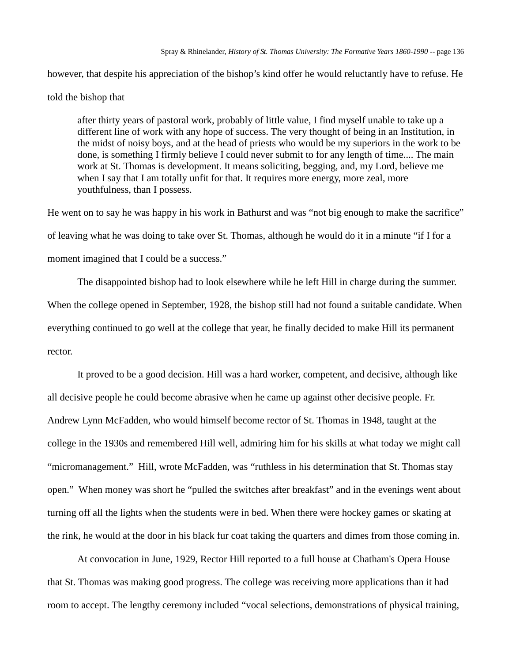however, that despite his appreciation of the bishop's kind offer he would reluctantly have to refuse. He

### told the bishop that

after thirty years of pastoral work, probably of little value, I find myself unable to take up a different line of work with any hope of success. The very thought of being in an Institution, in the midst of noisy boys, and at the head of priests who would be my superiors in the work to be done, is something I firmly believe I could never submit to for any length of time.... The main work at St. Thomas is development. It means soliciting, begging, and, my Lord, believe me when I say that I am totally unfit for that. It requires more energy, more zeal, more youthfulness, than I possess.

He went on to say he was happy in his work in Bathurst and was "not big enough to make the sacrifice" of leaving what he was doing to take over St. Thomas, although he would do it in a minute "if I for a moment imagined that I could be a success."

The disappointed bishop had to look elsewhere while he left Hill in charge during the summer. When the college opened in September, 1928, the bishop still had not found a suitable candidate. When everything continued to go well at the college that year, he finally decided to make Hill its permanent rector.

It proved to be a good decision. Hill was a hard worker, competent, and decisive, although like all decisive people he could become abrasive when he came up against other decisive people. Fr. Andrew Lynn McFadden, who would himself become rector of St. Thomas in 1948, taught at the college in the 1930s and remembered Hill well, admiring him for his skills at what today we might call "micromanagement." Hill, wrote McFadden, was "ruthless in his determination that St. Thomas stay open." When money was short he "pulled the switches after breakfast" and in the evenings went about turning off all the lights when the students were in bed. When there were hockey games or skating at the rink, he would at the door in his black fur coat taking the quarters and dimes from those coming in.

At convocation in June, 1929, Rector Hill reported to a full house at Chatham's Opera House that St. Thomas was making good progress. The college was receiving more applications than it had room to accept. The lengthy ceremony included "vocal selections, demonstrations of physical training,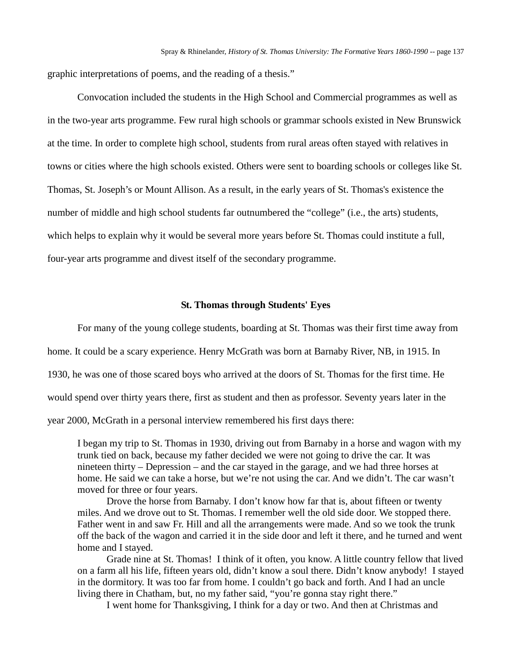graphic interpretations of poems, and the reading of a thesis."

Convocation included the students in the High School and Commercial programmes as well as in the two-year arts programme. Few rural high schools or grammar schools existed in New Brunswick at the time. In order to complete high school, students from rural areas often stayed with relatives in towns or cities where the high schools existed. Others were sent to boarding schools or colleges like St. Thomas, St. Joseph's or Mount Allison. As a result, in the early years of St. Thomas's existence the number of middle and high school students far outnumbered the "college" (i.e., the arts) students, which helps to explain why it would be several more years before St. Thomas could institute a full, four-year arts programme and divest itself of the secondary programme.

#### **St. Thomas through Students' Eyes**

For many of the young college students, boarding at St. Thomas was their first time away from

home. It could be a scary experience. Henry McGrath was born at Barnaby River, NB, in 1915. In

1930, he was one of those scared boys who arrived at the doors of St. Thomas for the first time. He

would spend over thirty years there, first as student and then as professor. Seventy years later in the

year 2000, McGrath in a personal interview remembered his first days there:

I began my trip to St. Thomas in 1930, driving out from Barnaby in a horse and wagon with my trunk tied on back, because my father decided we were not going to drive the car. It was nineteen thirty – Depression – and the car stayed in the garage, and we had three horses at home. He said we can take a horse, but we're not using the car. And we didn't. The car wasn't moved for three or four years.

Drove the horse from Barnaby. I don't know how far that is, about fifteen or twenty miles. And we drove out to St. Thomas. I remember well the old side door. We stopped there. Father went in and saw Fr. Hill and all the arrangements were made. And so we took the trunk off the back of the wagon and carried it in the side door and left it there, and he turned and went home and I stayed.

Grade nine at St. Thomas! I think of it often, you know. A little country fellow that lived on a farm all his life, fifteen years old, didn't know a soul there. Didn't know anybody! I stayed in the dormitory. It was too far from home. I couldn't go back and forth. And I had an uncle living there in Chatham, but, no my father said, "you're gonna stay right there."

I went home for Thanksgiving, I think for a day or two. And then at Christmas and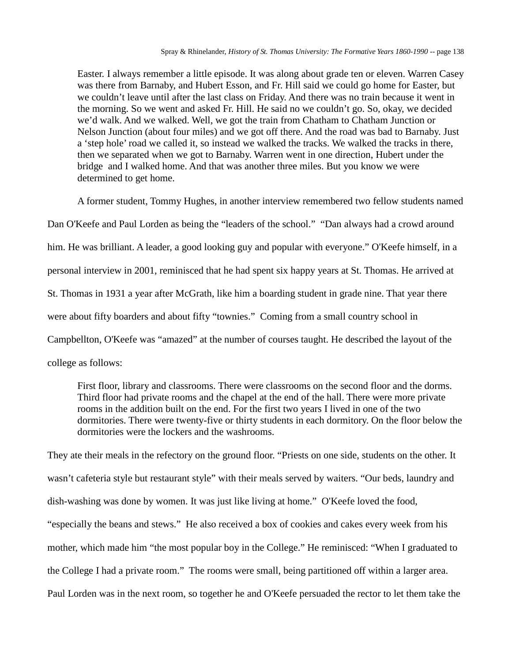Easter. I always remember a little episode. It was along about grade ten or eleven. Warren Casey was there from Barnaby, and Hubert Esson, and Fr. Hill said we could go home for Easter, but we couldn't leave until after the last class on Friday. And there was no train because it went in the morning. So we went and asked Fr. Hill. He said no we couldn't go. So, okay, we decided we'd walk. And we walked. Well, we got the train from Chatham to Chatham Junction or Nelson Junction (about four miles) and we got off there. And the road was bad to Barnaby. Just a 'step hole' road we called it, so instead we walked the tracks. We walked the tracks in there, then we separated when we got to Barnaby. Warren went in one direction, Hubert under the bridge and I walked home. And that was another three miles. But you know we were determined to get home.

A former student, Tommy Hughes, in another interview remembered two fellow students named

Dan O'Keefe and Paul Lorden as being the "leaders of the school." "Dan always had a crowd around him. He was brilliant. A leader, a good looking guy and popular with everyone." O'Keefe himself, in a personal interview in 2001, reminisced that he had spent six happy years at St. Thomas. He arrived at St. Thomas in 1931 a year after McGrath, like him a boarding student in grade nine. That year there were about fifty boarders and about fifty "townies." Coming from a small country school in Campbellton, O'Keefe was "amazed" at the number of courses taught. He described the layout of the college as follows:

First floor, library and classrooms. There were classrooms on the second floor and the dorms. Third floor had private rooms and the chapel at the end of the hall. There were more private rooms in the addition built on the end. For the first two years I lived in one of the two dormitories. There were twenty-five or thirty students in each dormitory. On the floor below the dormitories were the lockers and the washrooms.

They ate their meals in the refectory on the ground floor. "Priests on one side, students on the other. It wasn't cafeteria style but restaurant style" with their meals served by waiters. "Our beds, laundry and dish-washing was done by women. It was just like living at home." O'Keefe loved the food, "especially the beans and stews." He also received a box of cookies and cakes every week from his mother, which made him "the most popular boy in the College." He reminisced: "When I graduated to the College I had a private room." The rooms were small, being partitioned off within a larger area. Paul Lorden was in the next room, so together he and O'Keefe persuaded the rector to let them take the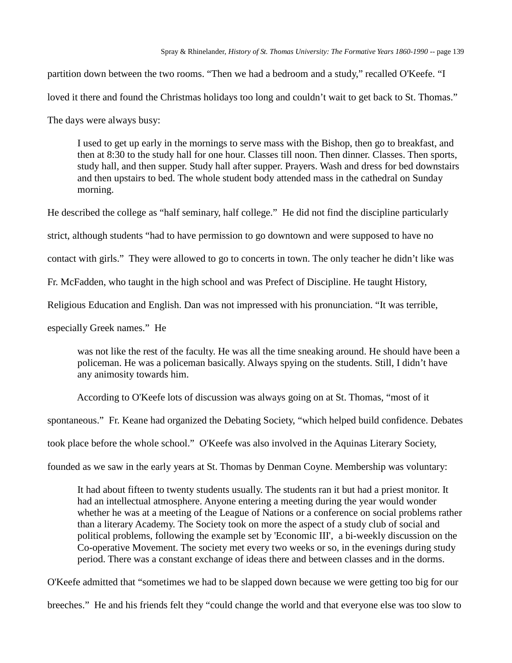partition down between the two rooms. "Then we had a bedroom and a study," recalled O'Keefe. "I

loved it there and found the Christmas holidays too long and couldn't wait to get back to St. Thomas."

The days were always busy:

I used to get up early in the mornings to serve mass with the Bishop, then go to breakfast, and then at 8:30 to the study hall for one hour. Classes till noon. Then dinner. Classes. Then sports, study hall, and then supper. Study hall after supper. Prayers. Wash and dress for bed downstairs and then upstairs to bed. The whole student body attended mass in the cathedral on Sunday morning.

He described the college as "half seminary, half college." He did not find the discipline particularly

strict, although students "had to have permission to go downtown and were supposed to have no

contact with girls." They were allowed to go to concerts in town. The only teacher he didn't like was

Fr. McFadden, who taught in the high school and was Prefect of Discipline. He taught History,

Religious Education and English. Dan was not impressed with his pronunciation. "It was terrible,

especially Greek names." He

was not like the rest of the faculty. He was all the time sneaking around. He should have been a policeman. He was a policeman basically. Always spying on the students. Still, I didn't have any animosity towards him.

According to O'Keefe lots of discussion was always going on at St. Thomas, "most of it

spontaneous." Fr. Keane had organized the Debating Society, "which helped build confidence. Debates

took place before the whole school." O'Keefe was also involved in the Aquinas Literary Society,

founded as we saw in the early years at St. Thomas by Denman Coyne. Membership was voluntary:

It had about fifteen to twenty students usually. The students ran it but had a priest monitor. It had an intellectual atmosphere. Anyone entering a meeting during the year would wonder whether he was at a meeting of the League of Nations or a conference on social problems rather than a literary Academy. The Society took on more the aspect of a study club of social and political problems, following the example set by 'Economic III', a bi-weekly discussion on the Co-operative Movement. The society met every two weeks or so, in the evenings during study period. There was a constant exchange of ideas there and between classes and in the dorms.

O'Keefe admitted that "sometimes we had to be slapped down because we were getting too big for our

breeches." He and his friends felt they "could change the world and that everyone else was too slow to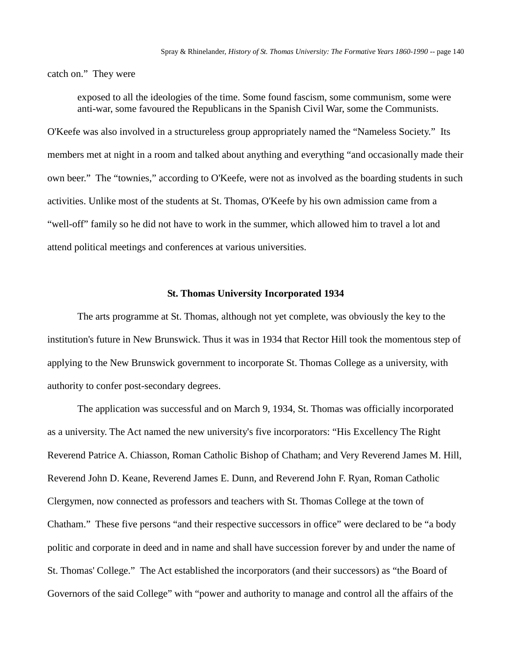catch on." They were

exposed to all the ideologies of the time. Some found fascism, some communism, some were anti-war, some favoured the Republicans in the Spanish Civil War, some the Communists.

O'Keefe was also involved in a structureless group appropriately named the "Nameless Society." Its members met at night in a room and talked about anything and everything "and occasionally made their own beer." The "townies," according to O'Keefe, were not as involved as the boarding students in such activities. Unlike most of the students at St. Thomas, O'Keefe by his own admission came from a "well-off" family so he did not have to work in the summer, which allowed him to travel a lot and attend political meetings and conferences at various universities.

### **St. Thomas University Incorporated 1934**

The arts programme at St. Thomas, although not yet complete, was obviously the key to the institution's future in New Brunswick. Thus it was in 1934 that Rector Hill took the momentous step of applying to the New Brunswick government to incorporate St. Thomas College as a university, with authority to confer post-secondary degrees.

The application was successful and on March 9, 1934, St. Thomas was officially incorporated as a university. The Act named the new university's five incorporators: "His Excellency The Right Reverend Patrice A. Chiasson, Roman Catholic Bishop of Chatham; and Very Reverend James M. Hill, Reverend John D. Keane, Reverend James E. Dunn, and Reverend John F. Ryan, Roman Catholic Clergymen, now connected as professors and teachers with St. Thomas College at the town of Chatham." These five persons "and their respective successors in office" were declared to be "a body politic and corporate in deed and in name and shall have succession forever by and under the name of St. Thomas' College." The Act established the incorporators (and their successors) as "the Board of Governors of the said College" with "power and authority to manage and control all the affairs of the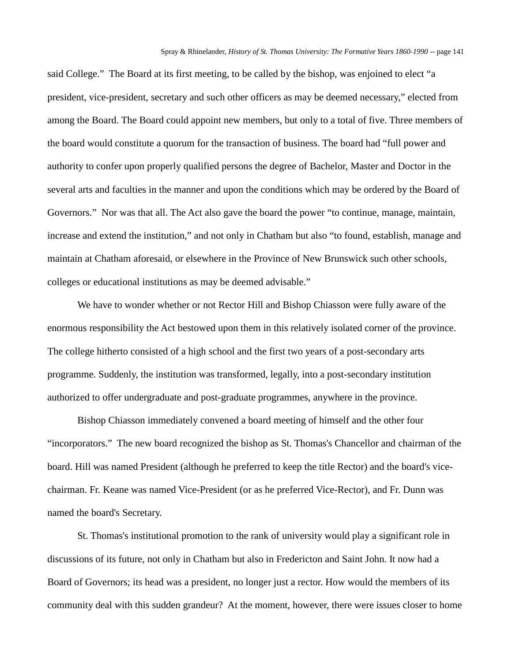said College." The Board at its first meeting, to be called by the bishop, was enjoined to elect "a president, vice-president, secretary and such other officers as may be deemed necessary," elected from among the Board. The Board could appoint new members, but only to a total of five. Three members of the board would constitute a quorum for the transaction of business. The board had "full power and authority to confer upon properly qualified persons the degree of Bachelor, Master and Doctor in the several arts and faculties in the manner and upon the conditions which may be ordered by the Board of Governors." Nor was that all. The Act also gave the board the power "to continue, manage, maintain, increase and extend the institution," and not only in Chatham but also "to found, establish, manage and maintain at Chatham aforesaid, or elsewhere in the Province of New Brunswick such other schools, colleges or educational institutions as may be deemed advisable."

We have to wonder whether or not Rector Hill and Bishop Chiasson were fully aware of the enormous responsibility the Act bestowed upon them in this relatively isolated corner of the province. The college hitherto consisted of a high school and the first two years of a post-secondary arts programme. Suddenly, the institution was transformed, legally, into a post-secondary institution authorized to offer undergraduate and post-graduate programmes, anywhere in the province.

Bishop Chiasson immediately convened a board meeting of himself and the other four "incorporators." The new board recognized the bishop as St. Thomas's Chancellor and chairman of the board. Hill was named President (although he preferred to keep the title Rector) and the board's vicechairman. Fr. Keane was named Vice-President (or as he preferred Vice-Rector), and Fr. Dunn was named the board's Secretary.

St. Thomas's institutional promotion to the rank of university would play a significant role in discussions of its future, not only in Chatham but also in Fredericton and Saint John. It now had a Board of Governors; its head was a president, no longer just a rector. How would the members of its community deal with this sudden grandeur? At the moment, however, there were issues closer to home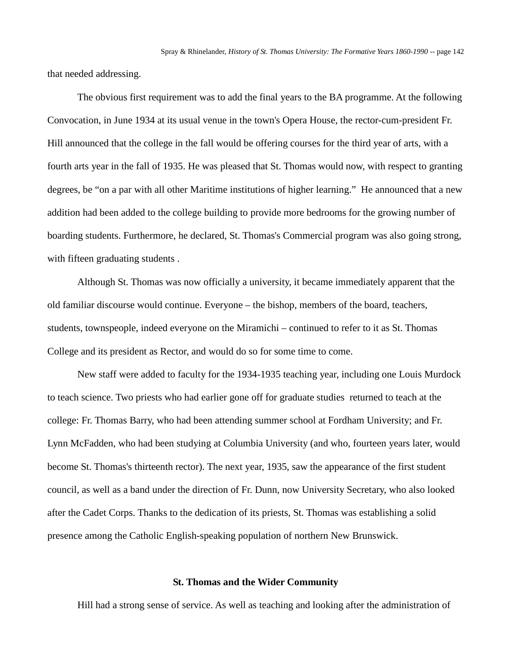that needed addressing.

The obvious first requirement was to add the final years to the BA programme. At the following Convocation, in June 1934 at its usual venue in the town's Opera House, the rector-cum-president Fr. Hill announced that the college in the fall would be offering courses for the third year of arts, with a fourth arts year in the fall of 1935. He was pleased that St. Thomas would now, with respect to granting degrees, be "on a par with all other Maritime institutions of higher learning." He announced that a new addition had been added to the college building to provide more bedrooms for the growing number of boarding students. Furthermore, he declared, St. Thomas's Commercial program was also going strong, with fifteen graduating students .

Although St. Thomas was now officially a university, it became immediately apparent that the old familiar discourse would continue. Everyone – the bishop, members of the board, teachers, students, townspeople, indeed everyone on the Miramichi – continued to refer to it as St. Thomas College and its president as Rector, and would do so for some time to come.

New staff were added to faculty for the 1934-1935 teaching year, including one Louis Murdock to teach science. Two priests who had earlier gone off for graduate studies returned to teach at the college: Fr. Thomas Barry, who had been attending summer school at Fordham University; and Fr. Lynn McFadden, who had been studying at Columbia University (and who, fourteen years later, would become St. Thomas's thirteenth rector). The next year, 1935, saw the appearance of the first student council, as well as a band under the direction of Fr. Dunn, now University Secretary, who also looked after the Cadet Corps. Thanks to the dedication of its priests, St. Thomas was establishing a solid presence among the Catholic English-speaking population of northern New Brunswick.

#### **St. Thomas and the Wider Community**

Hill had a strong sense of service. As well as teaching and looking after the administration of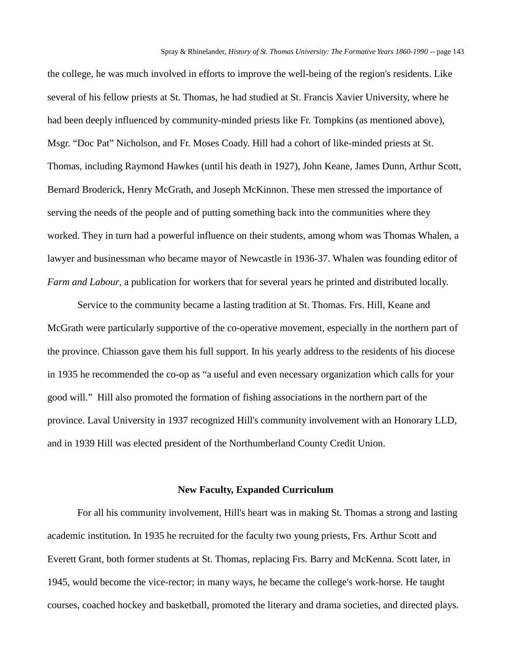the college, he was much involved in efforts to improve the well-being of the region's residents. Like several of his fellow priests at St. Thomas, he had studied at St. Francis Xavier University, where he had been deeply influenced by community-minded priests like Fr. Tompkins (as mentioned above), Msgr. "Doc Pat" Nicholson, and Fr. Moses Coady. Hill had a cohort of like-minded priests at St. Thomas, including Raymond Hawkes (until his death in 1927), John Keane, James Dunn, Arthur Scott, Bernard Broderick, Henry McGrath, and Joseph McKinnon. These men stressed the importance of serving the needs of the people and of putting something back into the communities where they worked. They in turn had a powerful influence on their students, among whom was Thomas Whalen, a lawyer and businessman who became mayor of Newcastle in 1936-37. Whalen was founding editor of *Farm and Labour*, a publication for workers that for several years he printed and distributed locally.

Service to the community became a lasting tradition at St. Thomas. Frs. Hill, Keane and McGrath were particularly supportive of the co-operative movement, especially in the northern part of the province. Chiasson gave them his full support. In his yearly address to the residents of his diocese in 1935 he recommended the co-op as "a useful and even necessary organization which calls for your good will." Hill also promoted the formation of fishing associations in the northern part of the province. Laval University in 1937 recognized Hill's community involvement with an Honorary LLD, and in 1939 Hill was elected president of the Northumberland County Credit Union.

## **New Faculty, Expanded Curriculum**

For all his community involvement, Hill's heart was in making St. Thomas a strong and lasting academic institution. In 1935 he recruited for the faculty two young priests, Frs. Arthur Scott and Everett Grant, both former students at St. Thomas, replacing Frs. Barry and McKenna. Scott later, in 1945, would become the vice-rector; in many ways, he became the college's work-horse. He taught courses, coached hockey and basketball, promoted the literary and drama societies, and directed plays.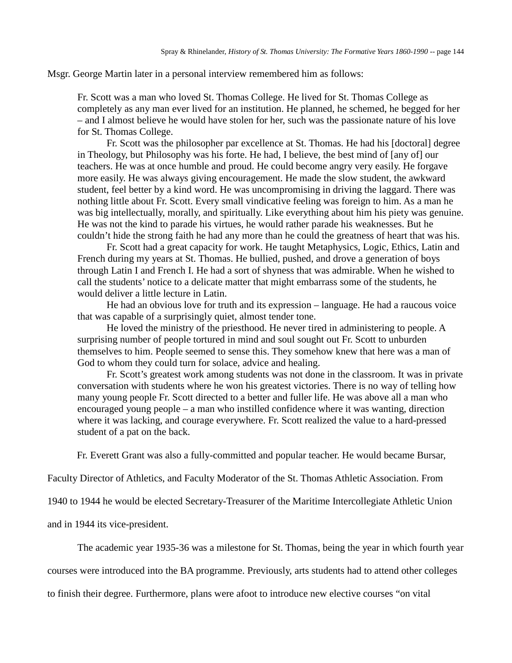Msgr. George Martin later in a personal interview remembered him as follows:

Fr. Scott was a man who loved St. Thomas College. He lived for St. Thomas College as completely as any man ever lived for an institution. He planned, he schemed, he begged for her – and I almost believe he would have stolen for her, such was the passionate nature of his love for St. Thomas College.

Fr. Scott was the philosopher par excellence at St. Thomas. He had his [doctoral] degree in Theology, but Philosophy was his forte. He had, I believe, the best mind of [any of] our teachers. He was at once humble and proud. He could become angry very easily. He forgave more easily. He was always giving encouragement. He made the slow student, the awkward student, feel better by a kind word. He was uncompromising in driving the laggard. There was nothing little about Fr. Scott. Every small vindicative feeling was foreign to him. As a man he was big intellectually, morally, and spiritually. Like everything about him his piety was genuine. He was not the kind to parade his virtues, he would rather parade his weaknesses. But he couldn't hide the strong faith he had any more than he could the greatness of heart that was his.

Fr. Scott had a great capacity for work. He taught Metaphysics, Logic, Ethics, Latin and French during my years at St. Thomas. He bullied, pushed, and drove a generation of boys through Latin I and French I. He had a sort of shyness that was admirable. When he wished to call the students' notice to a delicate matter that might embarrass some of the students, he would deliver a little lecture in Latin.

He had an obvious love for truth and its expression – language. He had a raucous voice that was capable of a surprisingly quiet, almost tender tone.

He loved the ministry of the priesthood. He never tired in administering to people. A surprising number of people tortured in mind and soul sought out Fr. Scott to unburden themselves to him. People seemed to sense this. They somehow knew that here was a man of God to whom they could turn for solace, advice and healing.

Fr. Scott's greatest work among students was not done in the classroom. It was in private conversation with students where he won his greatest victories. There is no way of telling how many young people Fr. Scott directed to a better and fuller life. He was above all a man who encouraged young people – a man who instilled confidence where it was wanting, direction where it was lacking, and courage everywhere. Fr. Scott realized the value to a hard-pressed student of a pat on the back.

Fr. Everett Grant was also a fully-committed and popular teacher. He would became Bursar,

Faculty Director of Athletics, and Faculty Moderator of the St. Thomas Athletic Association. From

1940 to 1944 he would be elected Secretary-Treasurer of the Maritime Intercollegiate Athletic Union

and in 1944 its vice-president.

The academic year 1935-36 was a milestone for St. Thomas, being the year in which fourth year

courses were introduced into the BA programme. Previously, arts students had to attend other colleges

to finish their degree. Furthermore, plans were afoot to introduce new elective courses "on vital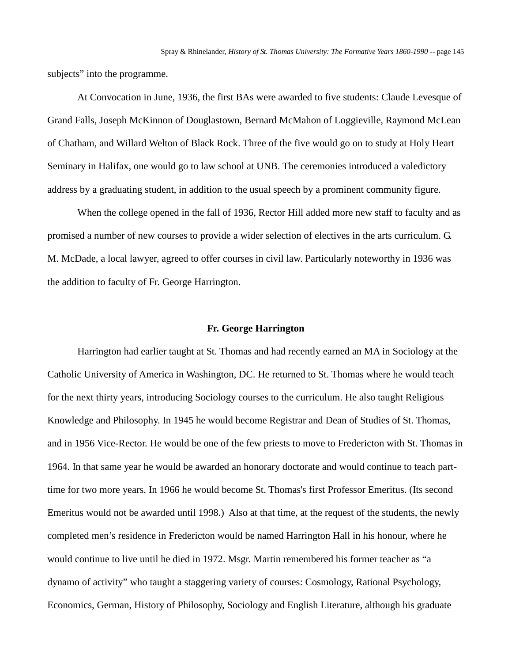subjects" into the programme.

At Convocation in June, 1936, the first BAs were awarded to five students: Claude Levesque of Grand Falls, Joseph McKinnon of Douglastown, Bernard McMahon of Loggieville, Raymond McLean of Chatham, and Willard Welton of Black Rock. Three of the five would go on to study at Holy Heart Seminary in Halifax, one would go to law school at UNB. The ceremonies introduced a valedictory address by a graduating student, in addition to the usual speech by a prominent community figure.

When the college opened in the fall of 1936, Rector Hill added more new staff to faculty and as promised a number of new courses to provide a wider selection of electives in the arts curriculum. G. M. McDade, a local lawyer, agreed to offer courses in civil law. Particularly noteworthy in 1936 was the addition to faculty of Fr. George Harrington.

#### **Fr. George Harrington**

Harrington had earlier taught at St. Thomas and had recently earned an MA in Sociology at the Catholic University of America in Washington, DC. He returned to St. Thomas where he would teach for the next thirty years, introducing Sociology courses to the curriculum. He also taught Religious Knowledge and Philosophy. In 1945 he would become Registrar and Dean of Studies of St. Thomas, and in 1956 Vice-Rector. He would be one of the few priests to move to Fredericton with St. Thomas in 1964. In that same year he would be awarded an honorary doctorate and would continue to teach parttime for two more years. In 1966 he would become St. Thomas's first Professor Emeritus. (Its second Emeritus would not be awarded until 1998.) Also at that time, at the request of the students, the newly completed men's residence in Fredericton would be named Harrington Hall in his honour, where he would continue to live until he died in 1972. Msgr. Martin remembered his former teacher as "a dynamo of activity" who taught a staggering variety of courses: Cosmology, Rational Psychology, Economics, German, History of Philosophy, Sociology and English Literature, although his graduate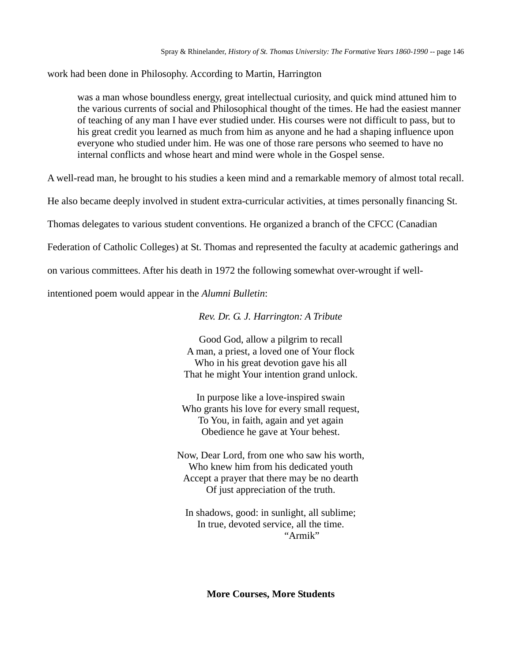work had been done in Philosophy. According to Martin, Harrington

was a man whose boundless energy, great intellectual curiosity, and quick mind attuned him to the various currents of social and Philosophical thought of the times. He had the easiest manner of teaching of any man I have ever studied under. His courses were not difficult to pass, but to his great credit you learned as much from him as anyone and he had a shaping influence upon everyone who studied under him. He was one of those rare persons who seemed to have no internal conflicts and whose heart and mind were whole in the Gospel sense.

A well-read man, he brought to his studies a keen mind and a remarkable memory of almost total recall.

He also became deeply involved in student extra-curricular activities, at times personally financing St.

Thomas delegates to various student conventions. He organized a branch of the CFCC (Canadian

Federation of Catholic Colleges) at St. Thomas and represented the faculty at academic gatherings and

on various committees. After his death in 1972 the following somewhat over-wrought if well-

intentioned poem would appear in the *Alumni Bulletin*:

*Rev. Dr. G. J. Harrington: A Tribute*

Good God, allow a pilgrim to recall A man, a priest, a loved one of Your flock Who in his great devotion gave his all That he might Your intention grand unlock.

In purpose like a love-inspired swain Who grants his love for every small request, To You, in faith, again and yet again Obedience he gave at Your behest.

Now, Dear Lord, from one who saw his worth, Who knew him from his dedicated youth Accept a prayer that there may be no dearth Of just appreciation of the truth.

In shadows, good: in sunlight, all sublime; In true, devoted service, all the time. "Armik"

**More Courses, More Students**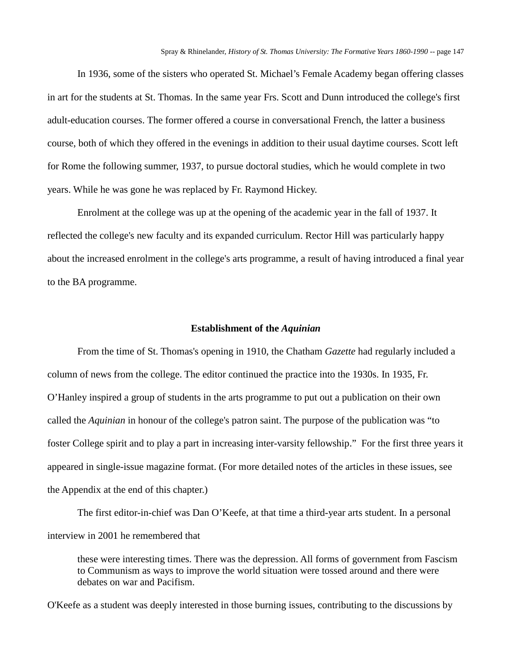In 1936, some of the sisters who operated St. Michael's Female Academy began offering classes in art for the students at St. Thomas. In the same year Frs. Scott and Dunn introduced the college's first adult-education courses. The former offered a course in conversational French, the latter a business course, both of which they offered in the evenings in addition to their usual daytime courses. Scott left for Rome the following summer, 1937, to pursue doctoral studies, which he would complete in two years. While he was gone he was replaced by Fr. Raymond Hickey.

Enrolment at the college was up at the opening of the academic year in the fall of 1937. It reflected the college's new faculty and its expanded curriculum. Rector Hill was particularly happy about the increased enrolment in the college's arts programme, a result of having introduced a final year to the BA programme.

#### **Establishment of the** *Aquinian*

From the time of St. Thomas's opening in 1910, the Chatham *Gazette* had regularly included a column of news from the college. The editor continued the practice into the 1930s. In 1935, Fr. O'Hanley inspired a group of students in the arts programme to put out a publication on their own called the *Aquinian* in honour of the college's patron saint. The purpose of the publication was "to foster College spirit and to play a part in increasing inter-varsity fellowship." For the first three years it appeared in single-issue magazine format. (For more detailed notes of the articles in these issues, see the Appendix at the end of this chapter.)

The first editor-in-chief was Dan O'Keefe, at that time a third-year arts student. In a personal interview in 2001 he remembered that

these were interesting times. There was the depression. All forms of government from Fascism to Communism as ways to improve the world situation were tossed around and there were debates on war and Pacifism.

O'Keefe as a student was deeply interested in those burning issues, contributing to the discussions by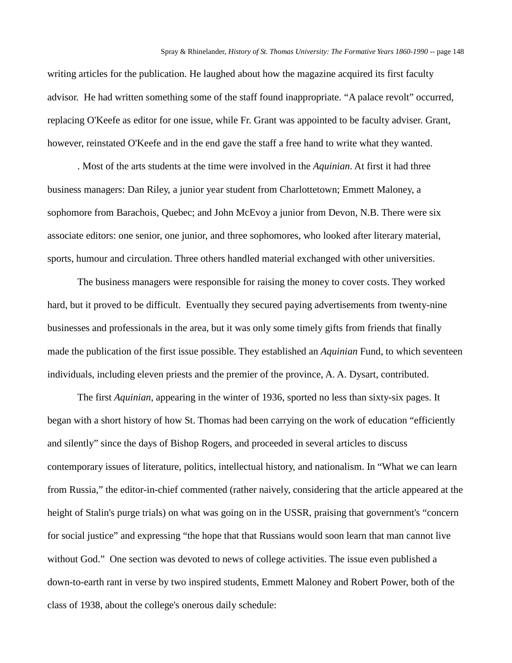writing articles for the publication. He laughed about how the magazine acquired its first faculty advisor. He had written something some of the staff found inappropriate. "A palace revolt" occurred, replacing O'Keefe as editor for one issue, while Fr. Grant was appointed to be faculty adviser. Grant, however, reinstated O'Keefe and in the end gave the staff a free hand to write what they wanted.

. Most of the arts students at the time were involved in the *Aquinian*. At first it had three business managers: Dan Riley, a junior year student from Charlottetown; Emmett Maloney, a sophomore from Barachois, Quebec; and John McEvoy a junior from Devon, N.B. There were six associate editors: one senior, one junior, and three sophomores, who looked after literary material, sports, humour and circulation. Three others handled material exchanged with other universities.

The business managers were responsible for raising the money to cover costs. They worked hard, but it proved to be difficult. Eventually they secured paying advertisements from twenty-nine businesses and professionals in the area, but it was only some timely gifts from friends that finally made the publication of the first issue possible. They established an *Aquinian* Fund, to which seventeen individuals, including eleven priests and the premier of the province, A. A. Dysart, contributed.

The first *Aquinian*, appearing in the winter of 1936, sported no less than sixty-six pages. It began with a short history of how St. Thomas had been carrying on the work of education "efficiently and silently" since the days of Bishop Rogers, and proceeded in several articles to discuss contemporary issues of literature, politics, intellectual history, and nationalism. In "What we can learn from Russia," the editor-in-chief commented (rather naively, considering that the article appeared at the height of Stalin's purge trials) on what was going on in the USSR, praising that government's "concern for social justice" and expressing "the hope that that Russians would soon learn that man cannot live without God." One section was devoted to news of college activities. The issue even published a down-to-earth rant in verse by two inspired students, Emmett Maloney and Robert Power, both of the class of 1938, about the college's onerous daily schedule: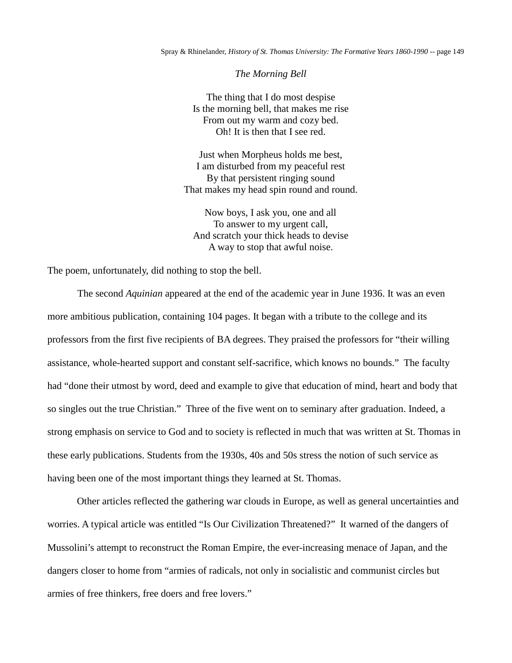*The Morning Bell*

The thing that I do most despise Is the morning bell, that makes me rise From out my warm and cozy bed. Oh! It is then that I see red.

Just when Morpheus holds me best, I am disturbed from my peaceful rest By that persistent ringing sound That makes my head spin round and round.

Now boys, I ask you, one and all To answer to my urgent call, And scratch your thick heads to devise A way to stop that awful noise.

The poem, unfortunately, did nothing to stop the bell.

The second *Aquinian* appeared at the end of the academic year in June 1936. It was an even more ambitious publication, containing 104 pages. It began with a tribute to the college and its professors from the first five recipients of BA degrees. They praised the professors for "their willing assistance, whole-hearted support and constant self-sacrifice, which knows no bounds." The faculty had "done their utmost by word, deed and example to give that education of mind, heart and body that so singles out the true Christian." Three of the five went on to seminary after graduation. Indeed, a strong emphasis on service to God and to society is reflected in much that was written at St. Thomas in these early publications. Students from the 1930s, 40s and 50s stress the notion of such service as having been one of the most important things they learned at St. Thomas.

Other articles reflected the gathering war clouds in Europe, as well as general uncertainties and worries. A typical article was entitled "Is Our Civilization Threatened?" It warned of the dangers of Mussolini's attempt to reconstruct the Roman Empire, the ever-increasing menace of Japan, and the dangers closer to home from "armies of radicals, not only in socialistic and communist circles but armies of free thinkers, free doers and free lovers."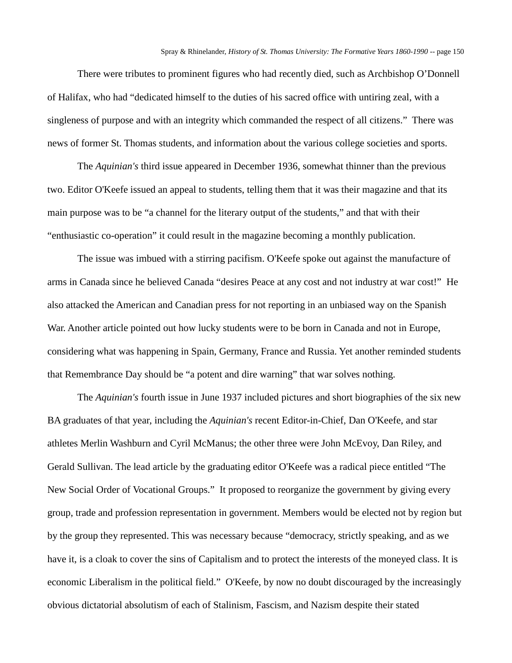There were tributes to prominent figures who had recently died, such as Archbishop O'Donnell of Halifax, who had "dedicated himself to the duties of his sacred office with untiring zeal, with a singleness of purpose and with an integrity which commanded the respect of all citizens." There was news of former St. Thomas students, and information about the various college societies and sports.

The *Aquinian's* third issue appeared in December 1936, somewhat thinner than the previous two. Editor O'Keefe issued an appeal to students, telling them that it was their magazine and that its main purpose was to be "a channel for the literary output of the students," and that with their "enthusiastic co-operation" it could result in the magazine becoming a monthly publication.

The issue was imbued with a stirring pacifism. O'Keefe spoke out against the manufacture of arms in Canada since he believed Canada "desires Peace at any cost and not industry at war cost!" He also attacked the American and Canadian press for not reporting in an unbiased way on the Spanish War. Another article pointed out how lucky students were to be born in Canada and not in Europe, considering what was happening in Spain, Germany, France and Russia. Yet another reminded students that Remembrance Day should be "a potent and dire warning" that war solves nothing.

The *Aquinian's* fourth issue in June 1937 included pictures and short biographies of the six new BA graduates of that year, including the *Aquinian's* recent Editor-in-Chief, Dan O'Keefe, and star athletes Merlin Washburn and Cyril McManus; the other three were John McEvoy, Dan Riley, and Gerald Sullivan. The lead article by the graduating editor O'Keefe was a radical piece entitled "The New Social Order of Vocational Groups." It proposed to reorganize the government by giving every group, trade and profession representation in government. Members would be elected not by region but by the group they represented. This was necessary because "democracy, strictly speaking, and as we have it, is a cloak to cover the sins of Capitalism and to protect the interests of the moneyed class. It is economic Liberalism in the political field." O'Keefe, by now no doubt discouraged by the increasingly obvious dictatorial absolutism of each of Stalinism, Fascism, and Nazism despite their stated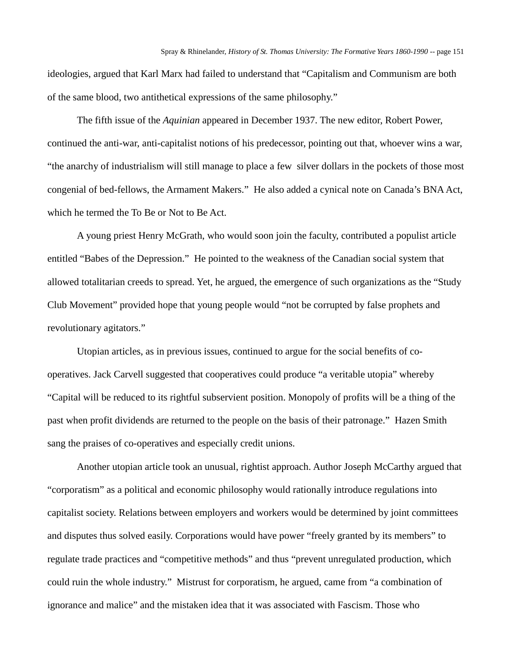ideologies, argued that Karl Marx had failed to understand that "Capitalism and Communism are both of the same blood, two antithetical expressions of the same philosophy."

The fifth issue of the *Aquinian* appeared in December 1937. The new editor, Robert Power, continued the anti-war, anti-capitalist notions of his predecessor, pointing out that, whoever wins a war, "the anarchy of industrialism will still manage to place a few silver dollars in the pockets of those most congenial of bed-fellows, the Armament Makers." He also added a cynical note on Canada's BNA Act, which he termed the To Be or Not to Be Act.

A young priest Henry McGrath, who would soon join the faculty, contributed a populist article entitled "Babes of the Depression." He pointed to the weakness of the Canadian social system that allowed totalitarian creeds to spread. Yet, he argued, the emergence of such organizations as the "Study Club Movement" provided hope that young people would "not be corrupted by false prophets and revolutionary agitators."

Utopian articles, as in previous issues, continued to argue for the social benefits of cooperatives. Jack Carvell suggested that cooperatives could produce "a veritable utopia" whereby "Capital will be reduced to its rightful subservient position. Monopoly of profits will be a thing of the past when profit dividends are returned to the people on the basis of their patronage." Hazen Smith sang the praises of co-operatives and especially credit unions.

Another utopian article took an unusual, rightist approach. Author Joseph McCarthy argued that "corporatism" as a political and economic philosophy would rationally introduce regulations into capitalist society. Relations between employers and workers would be determined by joint committees and disputes thus solved easily. Corporations would have power "freely granted by its members" to regulate trade practices and "competitive methods" and thus "prevent unregulated production, which could ruin the whole industry." Mistrust for corporatism, he argued, came from "a combination of ignorance and malice" and the mistaken idea that it was associated with Fascism. Those who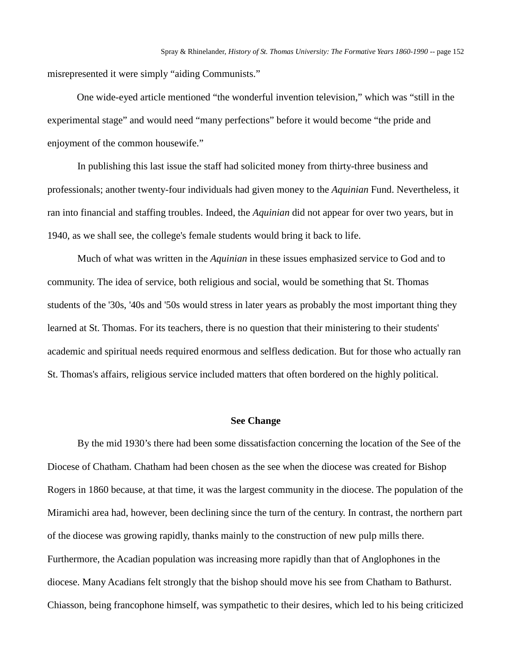misrepresented it were simply "aiding Communists."

One wide-eyed article mentioned "the wonderful invention television," which was "still in the experimental stage" and would need "many perfections" before it would become "the pride and enjoyment of the common housewife."

In publishing this last issue the staff had solicited money from thirty-three business and professionals; another twenty-four individuals had given money to the *Aquinian* Fund. Nevertheless, it ran into financial and staffing troubles. Indeed, the *Aquinian* did not appear for over two years, but in 1940, as we shall see, the college's female students would bring it back to life.

Much of what was written in the *Aquinian* in these issues emphasized service to God and to community. The idea of service, both religious and social, would be something that St. Thomas students of the '30s, '40s and '50s would stress in later years as probably the most important thing they learned at St. Thomas. For its teachers, there is no question that their ministering to their students' academic and spiritual needs required enormous and selfless dedication. But for those who actually ran St. Thomas's affairs, religious service included matters that often bordered on the highly political.

### **See Change**

By the mid 1930's there had been some dissatisfaction concerning the location of the See of the Diocese of Chatham. Chatham had been chosen as the see when the diocese was created for Bishop Rogers in 1860 because, at that time, it was the largest community in the diocese. The population of the Miramichi area had, however, been declining since the turn of the century. In contrast, the northern part of the diocese was growing rapidly, thanks mainly to the construction of new pulp mills there. Furthermore, the Acadian population was increasing more rapidly than that of Anglophones in the diocese. Many Acadians felt strongly that the bishop should move his see from Chatham to Bathurst. Chiasson, being francophone himself, was sympathetic to their desires, which led to his being criticized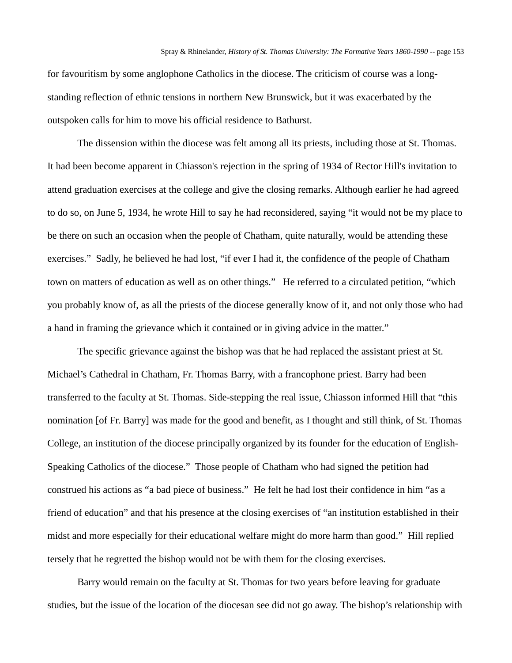for favouritism by some anglophone Catholics in the diocese. The criticism of course was a longstanding reflection of ethnic tensions in northern New Brunswick, but it was exacerbated by the outspoken calls for him to move his official residence to Bathurst.

The dissension within the diocese was felt among all its priests, including those at St. Thomas. It had been become apparent in Chiasson's rejection in the spring of 1934 of Rector Hill's invitation to attend graduation exercises at the college and give the closing remarks. Although earlier he had agreed to do so, on June 5, 1934, he wrote Hill to say he had reconsidered, saying "it would not be my place to be there on such an occasion when the people of Chatham, quite naturally, would be attending these exercises." Sadly, he believed he had lost, "if ever I had it, the confidence of the people of Chatham town on matters of education as well as on other things." He referred to a circulated petition, "which you probably know of, as all the priests of the diocese generally know of it, and not only those who had a hand in framing the grievance which it contained or in giving advice in the matter."

The specific grievance against the bishop was that he had replaced the assistant priest at St. Michael's Cathedral in Chatham, Fr. Thomas Barry, with a francophone priest. Barry had been transferred to the faculty at St. Thomas. Side-stepping the real issue, Chiasson informed Hill that "this nomination [of Fr. Barry] was made for the good and benefit, as I thought and still think, of St. Thomas College, an institution of the diocese principally organized by its founder for the education of English-Speaking Catholics of the diocese." Those people of Chatham who had signed the petition had construed his actions as "a bad piece of business." He felt he had lost their confidence in him "as a friend of education" and that his presence at the closing exercises of "an institution established in their midst and more especially for their educational welfare might do more harm than good." Hill replied tersely that he regretted the bishop would not be with them for the closing exercises.

Barry would remain on the faculty at St. Thomas for two years before leaving for graduate studies, but the issue of the location of the diocesan see did not go away. The bishop's relationship with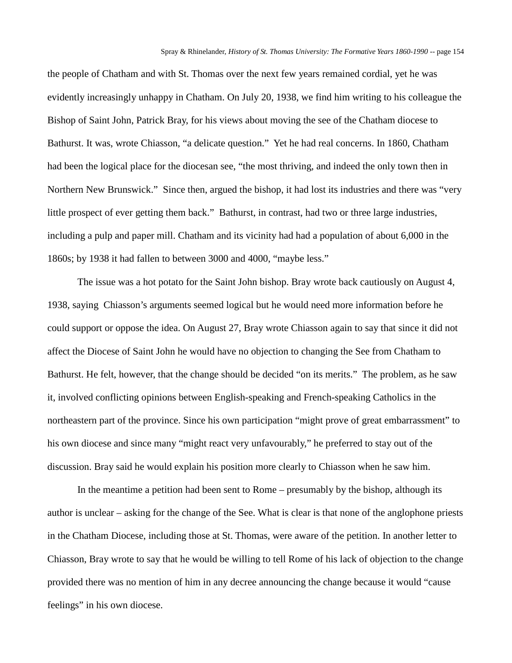the people of Chatham and with St. Thomas over the next few years remained cordial, yet he was evidently increasingly unhappy in Chatham. On July 20, 1938, we find him writing to his colleague the Bishop of Saint John, Patrick Bray, for his views about moving the see of the Chatham diocese to Bathurst. It was, wrote Chiasson, "a delicate question." Yet he had real concerns. In 1860, Chatham had been the logical place for the diocesan see, "the most thriving, and indeed the only town then in Northern New Brunswick." Since then, argued the bishop, it had lost its industries and there was "very little prospect of ever getting them back." Bathurst, in contrast, had two or three large industries, including a pulp and paper mill. Chatham and its vicinity had had a population of about 6,000 in the 1860s; by 1938 it had fallen to between 3000 and 4000, "maybe less."

The issue was a hot potato for the Saint John bishop. Bray wrote back cautiously on August 4, 1938, saying Chiasson's arguments seemed logical but he would need more information before he could support or oppose the idea. On August 27, Bray wrote Chiasson again to say that since it did not affect the Diocese of Saint John he would have no objection to changing the See from Chatham to Bathurst. He felt, however, that the change should be decided "on its merits." The problem, as he saw it, involved conflicting opinions between English-speaking and French-speaking Catholics in the northeastern part of the province. Since his own participation "might prove of great embarrassment" to his own diocese and since many "might react very unfavourably," he preferred to stay out of the discussion. Bray said he would explain his position more clearly to Chiasson when he saw him.

In the meantime a petition had been sent to Rome – presumably by the bishop, although its author is unclear – asking for the change of the See. What is clear is that none of the anglophone priests in the Chatham Diocese, including those at St. Thomas, were aware of the petition. In another letter to Chiasson, Bray wrote to say that he would be willing to tell Rome of his lack of objection to the change provided there was no mention of him in any decree announcing the change because it would "cause feelings" in his own diocese.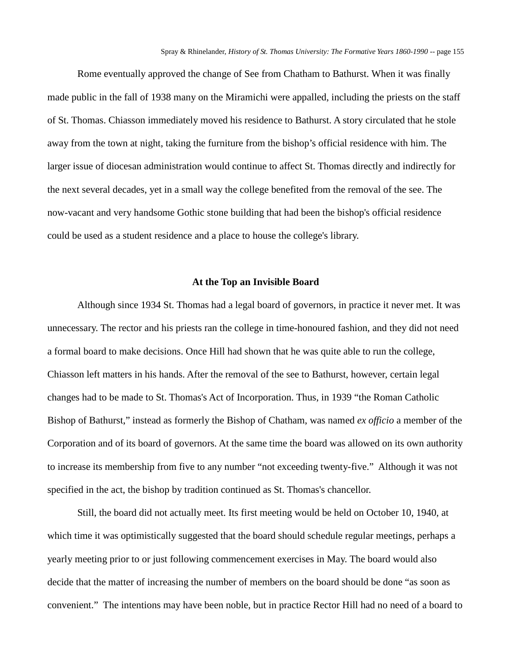Rome eventually approved the change of See from Chatham to Bathurst. When it was finally made public in the fall of 1938 many on the Miramichi were appalled, including the priests on the staff of St. Thomas. Chiasson immediately moved his residence to Bathurst. A story circulated that he stole away from the town at night, taking the furniture from the bishop's official residence with him. The larger issue of diocesan administration would continue to affect St. Thomas directly and indirectly for the next several decades, yet in a small way the college benefited from the removal of the see. The now-vacant and very handsome Gothic stone building that had been the bishop's official residence could be used as a student residence and a place to house the college's library.

#### **At the Top an Invisible Board**

Although since 1934 St. Thomas had a legal board of governors, in practice it never met. It was unnecessary. The rector and his priests ran the college in time-honoured fashion, and they did not need a formal board to make decisions. Once Hill had shown that he was quite able to run the college, Chiasson left matters in his hands. After the removal of the see to Bathurst, however, certain legal changes had to be made to St. Thomas's Act of Incorporation. Thus, in 1939 "the Roman Catholic Bishop of Bathurst," instead as formerly the Bishop of Chatham, was named *ex officio* a member of the Corporation and of its board of governors. At the same time the board was allowed on its own authority to increase its membership from five to any number "not exceeding twenty-five." Although it was not specified in the act, the bishop by tradition continued as St. Thomas's chancellor.

Still, the board did not actually meet. Its first meeting would be held on October 10, 1940, at which time it was optimistically suggested that the board should schedule regular meetings, perhaps a yearly meeting prior to or just following commencement exercises in May. The board would also decide that the matter of increasing the number of members on the board should be done "as soon as convenient." The intentions may have been noble, but in practice Rector Hill had no need of a board to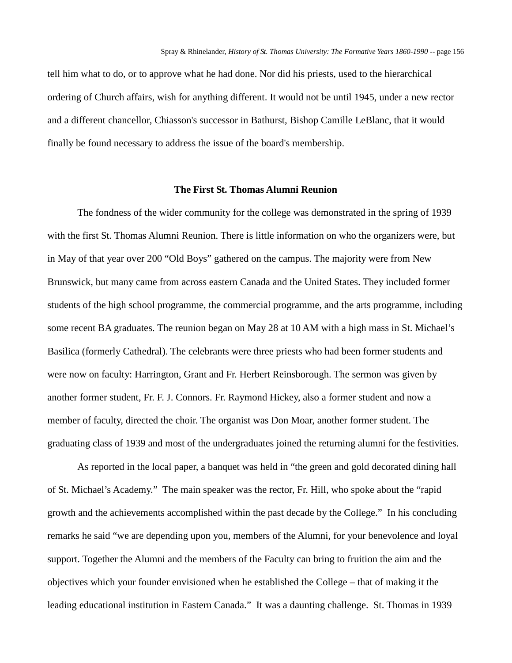tell him what to do, or to approve what he had done. Nor did his priests, used to the hierarchical ordering of Church affairs, wish for anything different. It would not be until 1945, under a new rector and a different chancellor, Chiasson's successor in Bathurst, Bishop Camille LeBlanc, that it would finally be found necessary to address the issue of the board's membership.

## **The First St. Thomas Alumni Reunion**

The fondness of the wider community for the college was demonstrated in the spring of 1939 with the first St. Thomas Alumni Reunion. There is little information on who the organizers were, but in May of that year over 200 "Old Boys" gathered on the campus. The majority were from New Brunswick, but many came from across eastern Canada and the United States. They included former students of the high school programme, the commercial programme, and the arts programme, including some recent BA graduates. The reunion began on May 28 at 10 AM with a high mass in St. Michael's Basilica (formerly Cathedral). The celebrants were three priests who had been former students and were now on faculty: Harrington, Grant and Fr. Herbert Reinsborough. The sermon was given by another former student, Fr. F. J. Connors. Fr. Raymond Hickey, also a former student and now a member of faculty, directed the choir. The organist was Don Moar, another former student. The graduating class of 1939 and most of the undergraduates joined the returning alumni for the festivities.

As reported in the local paper, a banquet was held in "the green and gold decorated dining hall of St. Michael's Academy." The main speaker was the rector, Fr. Hill, who spoke about the "rapid growth and the achievements accomplished within the past decade by the College." In his concluding remarks he said "we are depending upon you, members of the Alumni, for your benevolence and loyal support. Together the Alumni and the members of the Faculty can bring to fruition the aim and the objectives which your founder envisioned when he established the College – that of making it the leading educational institution in Eastern Canada." It was a daunting challenge. St. Thomas in 1939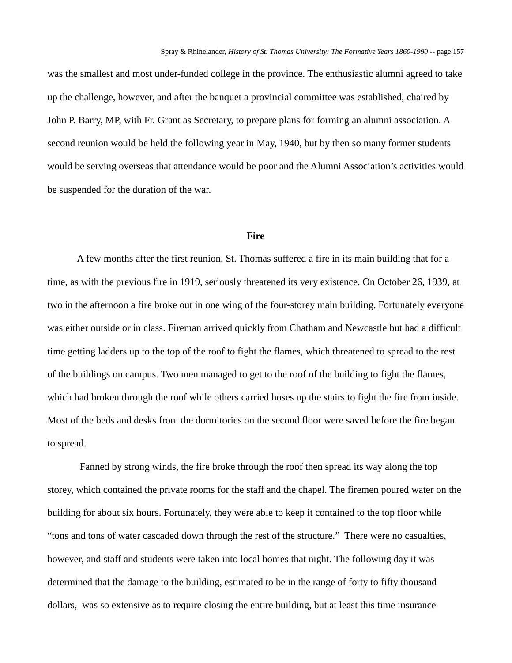was the smallest and most under-funded college in the province. The enthusiastic alumni agreed to take up the challenge, however, and after the banquet a provincial committee was established, chaired by John P. Barry, MP, with Fr. Grant as Secretary, to prepare plans for forming an alumni association. A second reunion would be held the following year in May, 1940, but by then so many former students would be serving overseas that attendance would be poor and the Alumni Association's activities would be suspended for the duration of the war.

### **Fire**

A few months after the first reunion, St. Thomas suffered a fire in its main building that for a time, as with the previous fire in 1919, seriously threatened its very existence. On October 26, 1939, at two in the afternoon a fire broke out in one wing of the four-storey main building. Fortunately everyone was either outside or in class. Fireman arrived quickly from Chatham and Newcastle but had a difficult time getting ladders up to the top of the roof to fight the flames, which threatened to spread to the rest of the buildings on campus. Two men managed to get to the roof of the building to fight the flames, which had broken through the roof while others carried hoses up the stairs to fight the fire from inside. Most of the beds and desks from the dormitories on the second floor were saved before the fire began to spread.

Fanned by strong winds, the fire broke through the roof then spread its way along the top storey, which contained the private rooms for the staff and the chapel. The firemen poured water on the building for about six hours. Fortunately, they were able to keep it contained to the top floor while "tons and tons of water cascaded down through the rest of the structure." There were no casualties, however, and staff and students were taken into local homes that night. The following day it was determined that the damage to the building, estimated to be in the range of forty to fifty thousand dollars, was so extensive as to require closing the entire building, but at least this time insurance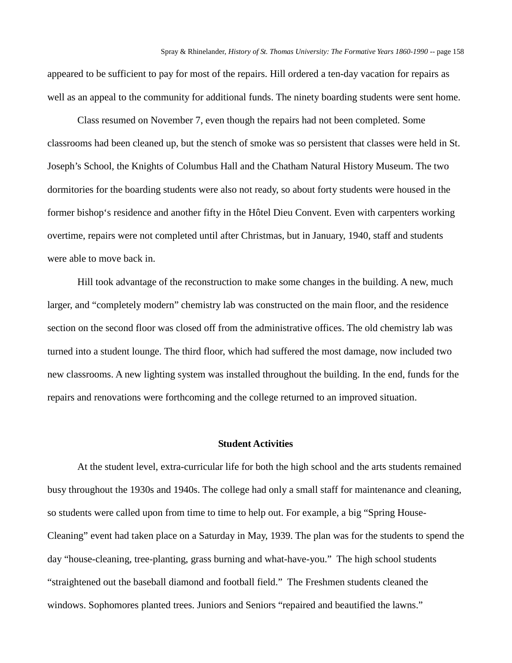appeared to be sufficient to pay for most of the repairs. Hill ordered a ten-day vacation for repairs as well as an appeal to the community for additional funds. The ninety boarding students were sent home.

Class resumed on November 7, even though the repairs had not been completed. Some classrooms had been cleaned up, but the stench of smoke was so persistent that classes were held in St. Joseph's School, the Knights of Columbus Hall and the Chatham Natural History Museum. The two dormitories for the boarding students were also not ready, so about forty students were housed in the former bishop's residence and another fifty in the Hôtel Dieu Convent. Even with carpenters working overtime, repairs were not completed until after Christmas, but in January, 1940, staff and students were able to move back in.

Hill took advantage of the reconstruction to make some changes in the building. A new, much larger, and "completely modern" chemistry lab was constructed on the main floor, and the residence section on the second floor was closed off from the administrative offices. The old chemistry lab was turned into a student lounge. The third floor, which had suffered the most damage, now included two new classrooms. A new lighting system was installed throughout the building. In the end, funds for the repairs and renovations were forthcoming and the college returned to an improved situation.

## **Student Activities**

At the student level, extra-curricular life for both the high school and the arts students remained busy throughout the 1930s and 1940s. The college had only a small staff for maintenance and cleaning, so students were called upon from time to time to help out. For example, a big "Spring House-Cleaning" event had taken place on a Saturday in May, 1939. The plan was for the students to spend the day "house-cleaning, tree-planting, grass burning and what-have-you." The high school students "straightened out the baseball diamond and football field." The Freshmen students cleaned the windows. Sophomores planted trees. Juniors and Seniors "repaired and beautified the lawns."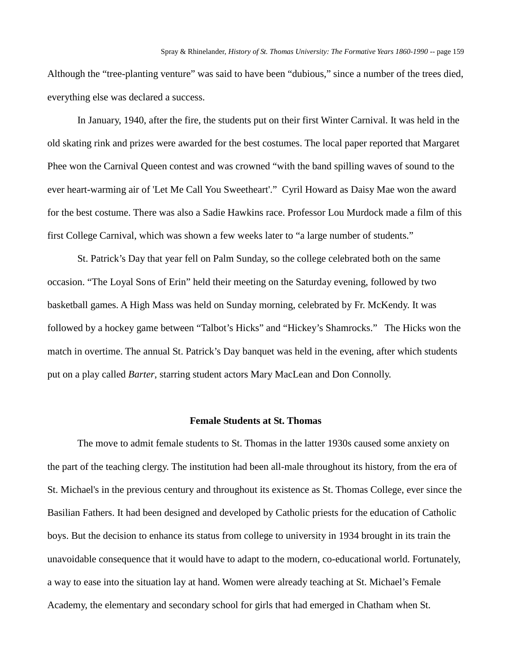Although the "tree-planting venture" was said to have been "dubious," since a number of the trees died, everything else was declared a success.

In January, 1940, after the fire, the students put on their first Winter Carnival. It was held in the old skating rink and prizes were awarded for the best costumes. The local paper reported that Margaret Phee won the Carnival Queen contest and was crowned "with the band spilling waves of sound to the ever heart-warming air of 'Let Me Call You Sweetheart'." Cyril Howard as Daisy Mae won the award for the best costume. There was also a Sadie Hawkins race. Professor Lou Murdock made a film of this first College Carnival, which was shown a few weeks later to "a large number of students."

St. Patrick's Day that year fell on Palm Sunday, so the college celebrated both on the same occasion. "The Loyal Sons of Erin" held their meeting on the Saturday evening, followed by two basketball games. A High Mass was held on Sunday morning, celebrated by Fr. McKendy. It was followed by a hockey game between "Talbot's Hicks" and "Hickey's Shamrocks." The Hicks won the match in overtime. The annual St. Patrick's Day banquet was held in the evening, after which students put on a play called *Barter*, starring student actors Mary MacLean and Don Connolly.

#### **Female Students at St. Thomas**

The move to admit female students to St. Thomas in the latter 1930s caused some anxiety on the part of the teaching clergy. The institution had been all-male throughout its history, from the era of St. Michael's in the previous century and throughout its existence as St. Thomas College, ever since the Basilian Fathers. It had been designed and developed by Catholic priests for the education of Catholic boys. But the decision to enhance its status from college to university in 1934 brought in its train the unavoidable consequence that it would have to adapt to the modern, co-educational world. Fortunately, a way to ease into the situation lay at hand. Women were already teaching at St. Michael's Female Academy, the elementary and secondary school for girls that had emerged in Chatham when St.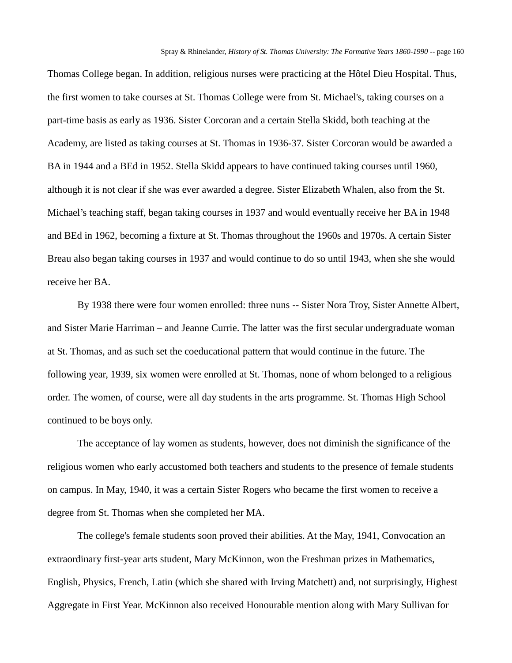Thomas College began. In addition, religious nurses were practicing at the Hôtel Dieu Hospital. Thus, the first women to take courses at St. Thomas College were from St. Michael's, taking courses on a part-time basis as early as 1936. Sister Corcoran and a certain Stella Skidd, both teaching at the Academy, are listed as taking courses at St. Thomas in 1936-37. Sister Corcoran would be awarded a BA in 1944 and a BEd in 1952. Stella Skidd appears to have continued taking courses until 1960, although it is not clear if she was ever awarded a degree. Sister Elizabeth Whalen, also from the St. Michael's teaching staff, began taking courses in 1937 and would eventually receive her BA in 1948 and BEd in 1962, becoming a fixture at St. Thomas throughout the 1960s and 1970s. A certain Sister Breau also began taking courses in 1937 and would continue to do so until 1943, when she she would receive her BA.

By 1938 there were four women enrolled: three nuns -- Sister Nora Troy, Sister Annette Albert, and Sister Marie Harriman – and Jeanne Currie. The latter was the first secular undergraduate woman at St. Thomas, and as such set the coeducational pattern that would continue in the future. The following year, 1939, six women were enrolled at St. Thomas, none of whom belonged to a religious order. The women, of course, were all day students in the arts programme. St. Thomas High School continued to be boys only.

The acceptance of lay women as students, however, does not diminish the significance of the religious women who early accustomed both teachers and students to the presence of female students on campus. In May, 1940, it was a certain Sister Rogers who became the first women to receive a degree from St. Thomas when she completed her MA.

The college's female students soon proved their abilities. At the May, 1941, Convocation an extraordinary first-year arts student, Mary McKinnon, won the Freshman prizes in Mathematics, English, Physics, French, Latin (which she shared with Irving Matchett) and, not surprisingly, Highest Aggregate in First Year. McKinnon also received Honourable mention along with Mary Sullivan for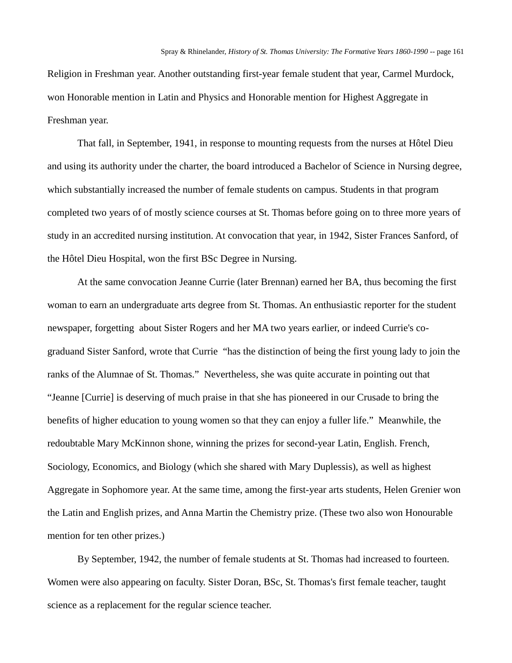Religion in Freshman year. Another outstanding first-year female student that year, Carmel Murdock, won Honorable mention in Latin and Physics and Honorable mention for Highest Aggregate in Freshman year.

That fall, in September, 1941, in response to mounting requests from the nurses at Hôtel Dieu and using its authority under the charter, the board introduced a Bachelor of Science in Nursing degree, which substantially increased the number of female students on campus. Students in that program completed two years of of mostly science courses at St. Thomas before going on to three more years of study in an accredited nursing institution. At convocation that year, in 1942, Sister Frances Sanford, of the Hôtel Dieu Hospital, won the first BSc Degree in Nursing.

At the same convocation Jeanne Currie (later Brennan) earned her BA, thus becoming the first woman to earn an undergraduate arts degree from St. Thomas. An enthusiastic reporter for the student newspaper, forgetting about Sister Rogers and her MA two years earlier, or indeed Currie's cograduand Sister Sanford, wrote that Currie "has the distinction of being the first young lady to join the ranks of the Alumnae of St. Thomas." Nevertheless, she was quite accurate in pointing out that "Jeanne [Currie] is deserving of much praise in that she has pioneered in our Crusade to bring the benefits of higher education to young women so that they can enjoy a fuller life." Meanwhile, the redoubtable Mary McKinnon shone, winning the prizes for second-year Latin, English. French, Sociology, Economics, and Biology (which she shared with Mary Duplessis), as well as highest Aggregate in Sophomore year. At the same time, among the first-year arts students, Helen Grenier won the Latin and English prizes, and Anna Martin the Chemistry prize. (These two also won Honourable mention for ten other prizes.)

By September, 1942, the number of female students at St. Thomas had increased to fourteen. Women were also appearing on faculty. Sister Doran, BSc, St. Thomas's first female teacher, taught science as a replacement for the regular science teacher.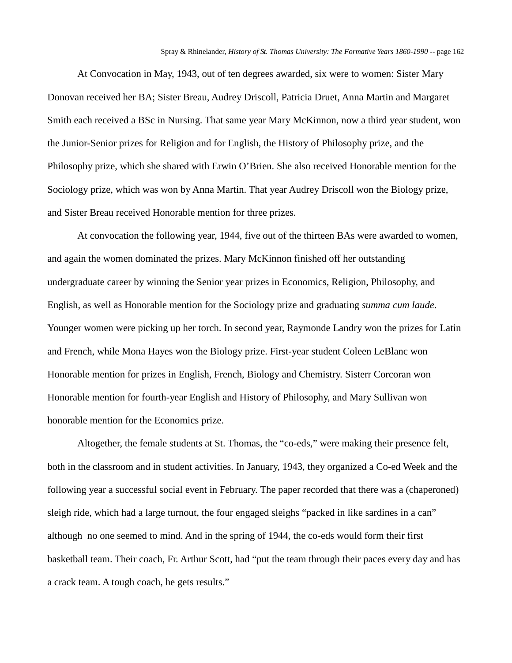At Convocation in May, 1943, out of ten degrees awarded, six were to women: Sister Mary Donovan received her BA; Sister Breau, Audrey Driscoll, Patricia Druet, Anna Martin and Margaret Smith each received a BSc in Nursing. That same year Mary McKinnon, now a third year student, won the Junior-Senior prizes for Religion and for English, the History of Philosophy prize, and the Philosophy prize, which she shared with Erwin O'Brien. She also received Honorable mention for the Sociology prize, which was won by Anna Martin. That year Audrey Driscoll won the Biology prize, and Sister Breau received Honorable mention for three prizes.

At convocation the following year, 1944, five out of the thirteen BAs were awarded to women, and again the women dominated the prizes. Mary McKinnon finished off her outstanding undergraduate career by winning the Senior year prizes in Economics, Religion, Philosophy, and English, as well as Honorable mention for the Sociology prize and graduating *summa cum laude*. Younger women were picking up her torch. In second year, Raymonde Landry won the prizes for Latin and French, while Mona Hayes won the Biology prize. First-year student Coleen LeBlanc won Honorable mention for prizes in English, French, Biology and Chemistry. Sisterr Corcoran won Honorable mention for fourth-year English and History of Philosophy, and Mary Sullivan won honorable mention for the Economics prize.

Altogether, the female students at St. Thomas, the "co-eds," were making their presence felt, both in the classroom and in student activities. In January, 1943, they organized a Co-ed Week and the following year a successful social event in February. The paper recorded that there was a (chaperoned) sleigh ride, which had a large turnout, the four engaged sleighs "packed in like sardines in a can" although no one seemed to mind. And in the spring of 1944, the co-eds would form their first basketball team. Their coach, Fr. Arthur Scott, had "put the team through their paces every day and has a crack team. A tough coach, he gets results."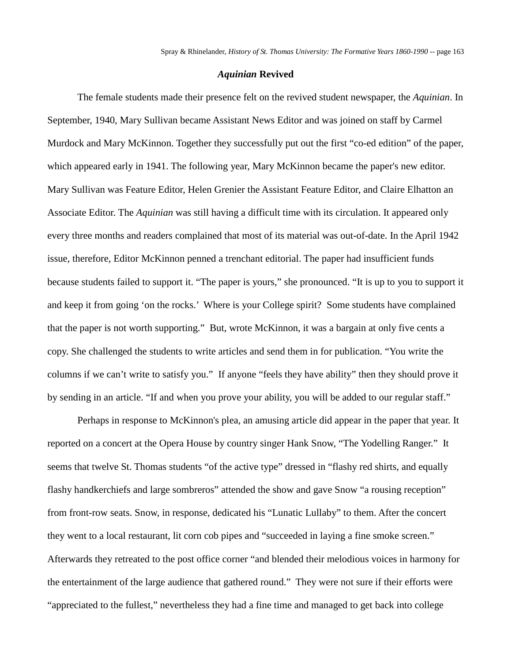#### *Aquinian* **Revived**

The female students made their presence felt on the revived student newspaper, the *Aquinian*. In September, 1940, Mary Sullivan became Assistant News Editor and was joined on staff by Carmel Murdock and Mary McKinnon. Together they successfully put out the first "co-ed edition" of the paper, which appeared early in 1941. The following year, Mary McKinnon became the paper's new editor. Mary Sullivan was Feature Editor, Helen Grenier the Assistant Feature Editor, and Claire Elhatton an Associate Editor. The *Aquinian* was still having a difficult time with its circulation. It appeared only every three months and readers complained that most of its material was out-of-date. In the April 1942 issue, therefore, Editor McKinnon penned a trenchant editorial. The paper had insufficient funds because students failed to support it. "The paper is yours," she pronounced. "It is up to you to support it and keep it from going 'on the rocks.' Where is your College spirit? Some students have complained that the paper is not worth supporting." But, wrote McKinnon, it was a bargain at only five cents a copy. She challenged the students to write articles and send them in for publication. "You write the columns if we can't write to satisfy you." If anyone "feels they have ability" then they should prove it by sending in an article. "If and when you prove your ability, you will be added to our regular staff."

Perhaps in response to McKinnon's plea, an amusing article did appear in the paper that year. It reported on a concert at the Opera House by country singer Hank Snow, "The Yodelling Ranger." It seems that twelve St. Thomas students "of the active type" dressed in "flashy red shirts, and equally flashy handkerchiefs and large sombreros" attended the show and gave Snow "a rousing reception" from front-row seats. Snow, in response, dedicated his "Lunatic Lullaby" to them. After the concert they went to a local restaurant, lit corn cob pipes and "succeeded in laying a fine smoke screen." Afterwards they retreated to the post office corner "and blended their melodious voices in harmony for the entertainment of the large audience that gathered round." They were not sure if their efforts were "appreciated to the fullest," nevertheless they had a fine time and managed to get back into college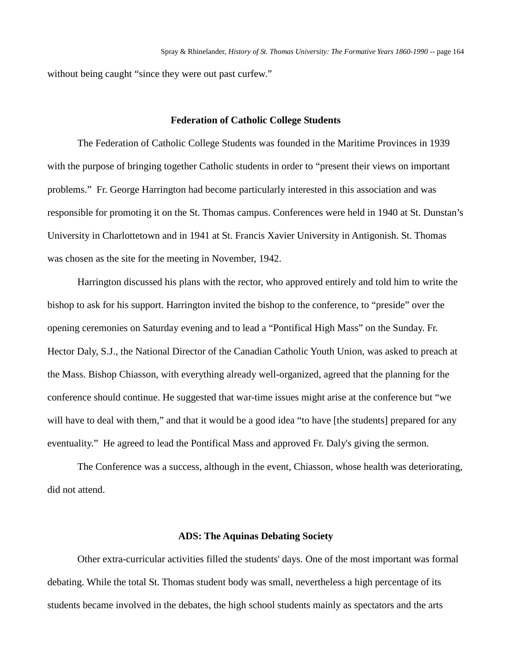without being caught "since they were out past curfew."

## **Federation of Catholic College Students**

The Federation of Catholic College Students was founded in the Maritime Provinces in 1939 with the purpose of bringing together Catholic students in order to "present their views on important problems." Fr. George Harrington had become particularly interested in this association and was responsible for promoting it on the St. Thomas campus. Conferences were held in 1940 at St. Dunstan's University in Charlottetown and in 1941 at St. Francis Xavier University in Antigonish. St. Thomas was chosen as the site for the meeting in November, 1942.

Harrington discussed his plans with the rector, who approved entirely and told him to write the bishop to ask for his support. Harrington invited the bishop to the conference, to "preside" over the opening ceremonies on Saturday evening and to lead a "Pontifical High Mass" on the Sunday. Fr. Hector Daly, S.J., the National Director of the Canadian Catholic Youth Union, was asked to preach at the Mass. Bishop Chiasson, with everything already well-organized, agreed that the planning for the conference should continue. He suggested that war-time issues might arise at the conference but "we will have to deal with them," and that it would be a good idea "to have [the students] prepared for any eventuality." He agreed to lead the Pontifical Mass and approved Fr. Daly's giving the sermon.

The Conference was a success, although in the event, Chiasson, whose health was deteriorating, did not attend.

### **ADS: The Aquinas Debating Society**

Other extra-curricular activities filled the students' days. One of the most important was formal debating. While the total St. Thomas student body was small, nevertheless a high percentage of its students became involved in the debates, the high school students mainly as spectators and the arts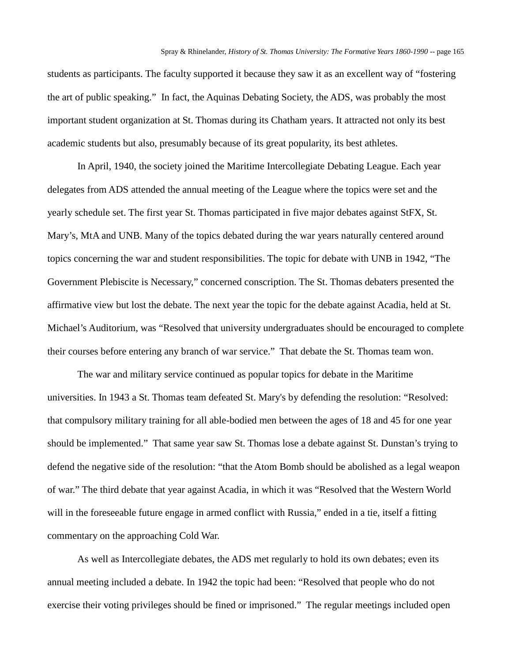students as participants. The faculty supported it because they saw it as an excellent way of "fostering the art of public speaking." In fact, the Aquinas Debating Society, the ADS, was probably the most important student organization at St. Thomas during its Chatham years. It attracted not only its best academic students but also, presumably because of its great popularity, its best athletes.

In April, 1940, the society joined the Maritime Intercollegiate Debating League. Each year delegates from ADS attended the annual meeting of the League where the topics were set and the yearly schedule set. The first year St. Thomas participated in five major debates against StFX, St. Mary's, MtA and UNB. Many of the topics debated during the war years naturally centered around topics concerning the war and student responsibilities. The topic for debate with UNB in 1942, "The Government Plebiscite is Necessary," concerned conscription. The St. Thomas debaters presented the affirmative view but lost the debate. The next year the topic for the debate against Acadia, held at St. Michael's Auditorium, was "Resolved that university undergraduates should be encouraged to complete their courses before entering any branch of war service." That debate the St. Thomas team won.

The war and military service continued as popular topics for debate in the Maritime universities. In 1943 a St. Thomas team defeated St. Mary's by defending the resolution: "Resolved: that compulsory military training for all able-bodied men between the ages of 18 and 45 for one year should be implemented." That same year saw St. Thomas lose a debate against St. Dunstan's trying to defend the negative side of the resolution: "that the Atom Bomb should be abolished as a legal weapon of war." The third debate that year against Acadia, in which it was "Resolved that the Western World will in the foreseeable future engage in armed conflict with Russia," ended in a tie, itself a fitting commentary on the approaching Cold War.

As well as Intercollegiate debates, the ADS met regularly to hold its own debates; even its annual meeting included a debate. In 1942 the topic had been: "Resolved that people who do not exercise their voting privileges should be fined or imprisoned." The regular meetings included open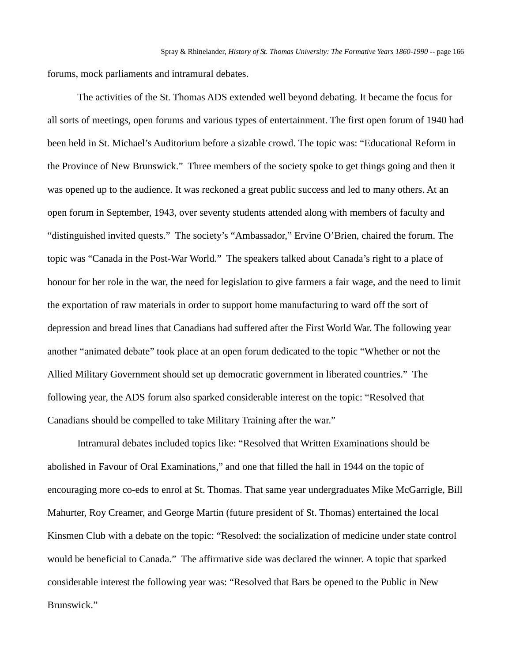forums, mock parliaments and intramural debates.

The activities of the St. Thomas ADS extended well beyond debating. It became the focus for all sorts of meetings, open forums and various types of entertainment. The first open forum of 1940 had been held in St. Michael's Auditorium before a sizable crowd. The topic was: "Educational Reform in the Province of New Brunswick." Three members of the society spoke to get things going and then it was opened up to the audience. It was reckoned a great public success and led to many others. At an open forum in September, 1943, over seventy students attended along with members of faculty and "distinguished invited quests." The society's "Ambassador," Ervine O'Brien, chaired the forum. The topic was "Canada in the Post-War World." The speakers talked about Canada's right to a place of honour for her role in the war, the need for legislation to give farmers a fair wage, and the need to limit the exportation of raw materials in order to support home manufacturing to ward off the sort of depression and bread lines that Canadians had suffered after the First World War. The following year another "animated debate" took place at an open forum dedicated to the topic "Whether or not the Allied Military Government should set up democratic government in liberated countries." The following year, the ADS forum also sparked considerable interest on the topic: "Resolved that Canadians should be compelled to take Military Training after the war."

Intramural debates included topics like: "Resolved that Written Examinations should be abolished in Favour of Oral Examinations," and one that filled the hall in 1944 on the topic of encouraging more co-eds to enrol at St. Thomas. That same year undergraduates Mike McGarrigle, Bill Mahurter, Roy Creamer, and George Martin (future president of St. Thomas) entertained the local Kinsmen Club with a debate on the topic: "Resolved: the socialization of medicine under state control would be beneficial to Canada." The affirmative side was declared the winner. A topic that sparked considerable interest the following year was: "Resolved that Bars be opened to the Public in New Brunswick."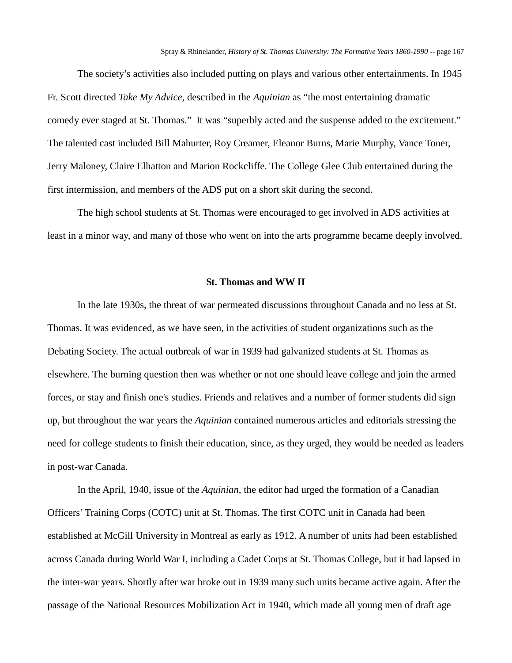The society's activities also included putting on plays and various other entertainments. In 1945 Fr. Scott directed *Take My Advice,* described in the *Aquinian* as "the most entertaining dramatic comedy ever staged at St. Thomas." It was "superbly acted and the suspense added to the excitement." The talented cast included Bill Mahurter, Roy Creamer, Eleanor Burns, Marie Murphy, Vance Toner, Jerry Maloney, Claire Elhatton and Marion Rockcliffe. The College Glee Club entertained during the first intermission, and members of the ADS put on a short skit during the second.

The high school students at St. Thomas were encouraged to get involved in ADS activities at least in a minor way, and many of those who went on into the arts programme became deeply involved.

#### **St. Thomas and WW II**

In the late 1930s, the threat of war permeated discussions throughout Canada and no less at St. Thomas. It was evidenced, as we have seen, in the activities of student organizations such as the Debating Society. The actual outbreak of war in 1939 had galvanized students at St. Thomas as elsewhere. The burning question then was whether or not one should leave college and join the armed forces, or stay and finish one's studies. Friends and relatives and a number of former students did sign up, but throughout the war years the *Aquinian* contained numerous articles and editorials stressing the need for college students to finish their education, since, as they urged, they would be needed as leaders in post-war Canada.

In the April, 1940, issue of the *Aquinian*, the editor had urged the formation of a Canadian Officers' Training Corps (COTC) unit at St. Thomas. The first COTC unit in Canada had been established at McGill University in Montreal as early as 1912. A number of units had been established across Canada during World War I, including a Cadet Corps at St. Thomas College, but it had lapsed in the inter-war years. Shortly after war broke out in 1939 many such units became active again. After the passage of the National Resources Mobilization Act in 1940, which made all young men of draft age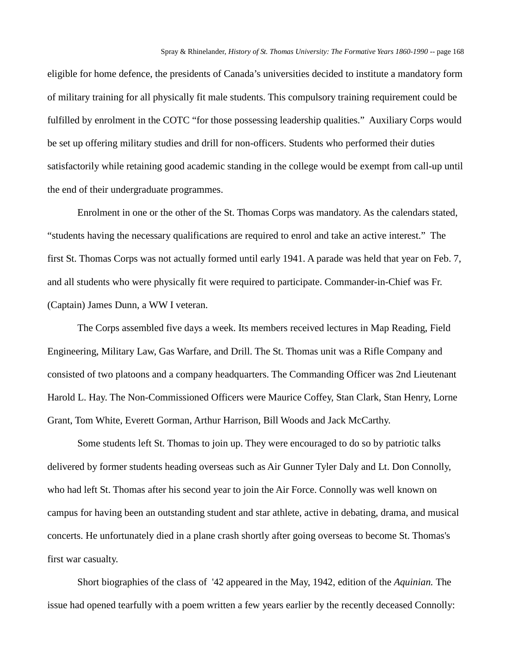eligible for home defence, the presidents of Canada's universities decided to institute a mandatory form of military training for all physically fit male students. This compulsory training requirement could be fulfilled by enrolment in the COTC "for those possessing leadership qualities." Auxiliary Corps would be set up offering military studies and drill for non-officers. Students who performed their duties satisfactorily while retaining good academic standing in the college would be exempt from call-up until the end of their undergraduate programmes.

Enrolment in one or the other of the St. Thomas Corps was mandatory. As the calendars stated, "students having the necessary qualifications are required to enrol and take an active interest." The first St. Thomas Corps was not actually formed until early 1941. A parade was held that year on Feb. 7, and all students who were physically fit were required to participate. Commander-in-Chief was Fr. (Captain) James Dunn, a WW I veteran.

The Corps assembled five days a week. Its members received lectures in Map Reading, Field Engineering, Military Law, Gas Warfare, and Drill. The St. Thomas unit was a Rifle Company and consisted of two platoons and a company headquarters. The Commanding Officer was 2nd Lieutenant Harold L. Hay. The Non-Commissioned Officers were Maurice Coffey, Stan Clark, Stan Henry, Lorne Grant, Tom White, Everett Gorman, Arthur Harrison, Bill Woods and Jack McCarthy.

Some students left St. Thomas to join up. They were encouraged to do so by patriotic talks delivered by former students heading overseas such as Air Gunner Tyler Daly and Lt. Don Connolly, who had left St. Thomas after his second year to join the Air Force. Connolly was well known on campus for having been an outstanding student and star athlete, active in debating, drama, and musical concerts. He unfortunately died in a plane crash shortly after going overseas to become St. Thomas's first war casualty.

Short biographies of the class of '42 appeared in the May, 1942, edition of the *Aquinian.* The issue had opened tearfully with a poem written a few years earlier by the recently deceased Connolly: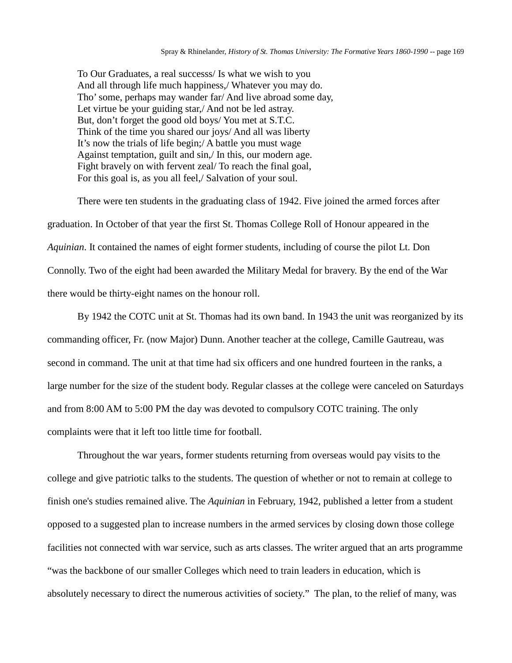To Our Graduates, a real successs/ Is what we wish to you And all through life much happiness,/ Whatever you may do. Tho' some, perhaps may wander far/ And live abroad some day, Let virtue be your guiding star,/ And not be led astray. But, don't forget the good old boys/ You met at S.T.C. Think of the time you shared our joys/ And all was liberty It's now the trials of life begin;/ A battle you must wage Against temptation, guilt and sin,/ In this, our modern age. Fight bravely on with fervent zeal/ To reach the final goal, For this goal is, as you all feel,/ Salvation of your soul.

There were ten students in the graduating class of 1942. Five joined the armed forces after graduation. In October of that year the first St. Thomas College Roll of Honour appeared in the *Aquinian*. It contained the names of eight former students, including of course the pilot Lt. Don Connolly. Two of the eight had been awarded the Military Medal for bravery. By the end of the War there would be thirty-eight names on the honour roll.

By 1942 the COTC unit at St. Thomas had its own band. In 1943 the unit was reorganized by its commanding officer, Fr. (now Major) Dunn. Another teacher at the college, Camille Gautreau, was second in command. The unit at that time had six officers and one hundred fourteen in the ranks, a large number for the size of the student body. Regular classes at the college were canceled on Saturdays and from 8:00 AM to 5:00 PM the day was devoted to compulsory COTC training. The only complaints were that it left too little time for football.

Throughout the war years, former students returning from overseas would pay visits to the college and give patriotic talks to the students. The question of whether or not to remain at college to finish one's studies remained alive. The *Aquinian* in February, 1942, published a letter from a student opposed to a suggested plan to increase numbers in the armed services by closing down those college facilities not connected with war service, such as arts classes. The writer argued that an arts programme "was the backbone of our smaller Colleges which need to train leaders in education, which is absolutely necessary to direct the numerous activities of society." The plan, to the relief of many, was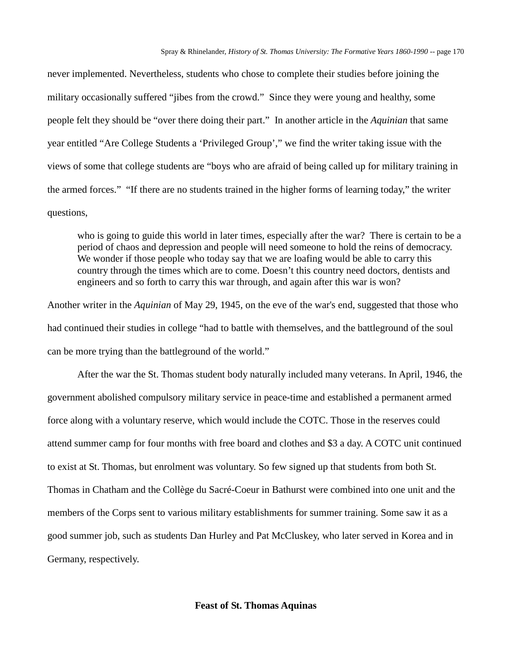never implemented. Nevertheless, students who chose to complete their studies before joining the military occasionally suffered "jibes from the crowd." Since they were young and healthy, some people felt they should be "over there doing their part." In another article in the *Aquinian* that same year entitled "Are College Students a 'Privileged Group'," we find the writer taking issue with the views of some that college students are "boys who are afraid of being called up for military training in the armed forces." "If there are no students trained in the higher forms of learning today," the writer questions,

who is going to guide this world in later times, especially after the war? There is certain to be a period of chaos and depression and people will need someone to hold the reins of democracy. We wonder if those people who today say that we are loafing would be able to carry this country through the times which are to come. Doesn't this country need doctors, dentists and engineers and so forth to carry this war through, and again after this war is won?

Another writer in the *Aquinian* of May 29, 1945, on the eve of the war's end, suggested that those who had continued their studies in college "had to battle with themselves, and the battleground of the soul can be more trying than the battleground of the world."

After the war the St. Thomas student body naturally included many veterans. In April, 1946, the government abolished compulsory military service in peace-time and established a permanent armed force along with a voluntary reserve, which would include the COTC. Those in the reserves could attend summer camp for four months with free board and clothes and \$3 a day. A COTC unit continued to exist at St. Thomas, but enrolment was voluntary. So few signed up that students from both St. Thomas in Chatham and the Collège du Sacré-Coeur in Bathurst were combined into one unit and the members of the Corps sent to various military establishments for summer training. Some saw it as a good summer job, such as students Dan Hurley and Pat McCluskey, who later served in Korea and in Germany, respectively.

### **Feast of St. Thomas Aquinas**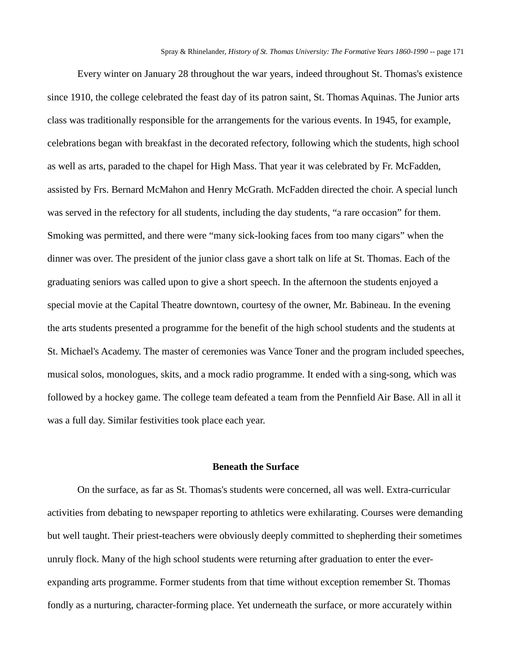Every winter on January 28 throughout the war years, indeed throughout St. Thomas's existence since 1910, the college celebrated the feast day of its patron saint, St. Thomas Aquinas. The Junior arts class was traditionally responsible for the arrangements for the various events. In 1945, for example, celebrations began with breakfast in the decorated refectory, following which the students, high school as well as arts, paraded to the chapel for High Mass. That year it was celebrated by Fr. McFadden, assisted by Frs. Bernard McMahon and Henry McGrath. McFadden directed the choir. A special lunch was served in the refectory for all students, including the day students, "a rare occasion" for them. Smoking was permitted, and there were "many sick-looking faces from too many cigars" when the dinner was over. The president of the junior class gave a short talk on life at St. Thomas. Each of the graduating seniors was called upon to give a short speech. In the afternoon the students enjoyed a special movie at the Capital Theatre downtown, courtesy of the owner, Mr. Babineau. In the evening the arts students presented a programme for the benefit of the high school students and the students at St. Michael's Academy. The master of ceremonies was Vance Toner and the program included speeches, musical solos, monologues, skits, and a mock radio programme. It ended with a sing-song, which was followed by a hockey game. The college team defeated a team from the Pennfield Air Base. All in all it was a full day. Similar festivities took place each year.

## **Beneath the Surface**

On the surface, as far as St. Thomas's students were concerned, all was well. Extra-curricular activities from debating to newspaper reporting to athletics were exhilarating. Courses were demanding but well taught. Their priest-teachers were obviously deeply committed to shepherding their sometimes unruly flock. Many of the high school students were returning after graduation to enter the everexpanding arts programme. Former students from that time without exception remember St. Thomas fondly as a nurturing, character-forming place. Yet underneath the surface, or more accurately within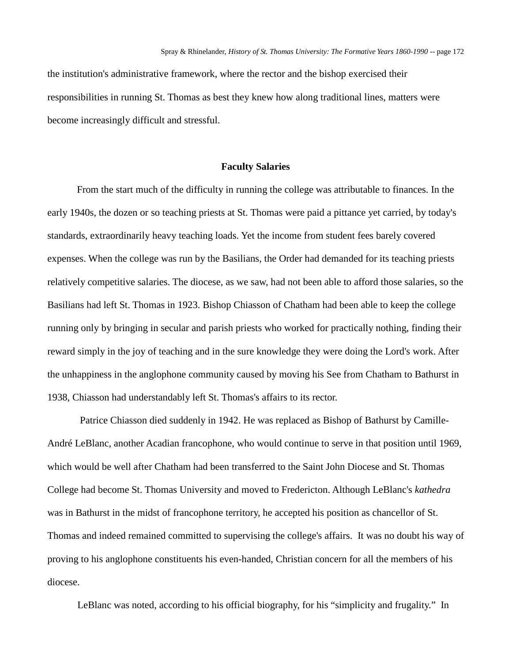the institution's administrative framework, where the rector and the bishop exercised their responsibilities in running St. Thomas as best they knew how along traditional lines, matters were become increasingly difficult and stressful.

## **Faculty Salaries**

From the start much of the difficulty in running the college was attributable to finances. In the early 1940s, the dozen or so teaching priests at St. Thomas were paid a pittance yet carried, by today's standards, extraordinarily heavy teaching loads. Yet the income from student fees barely covered expenses. When the college was run by the Basilians, the Order had demanded for its teaching priests relatively competitive salaries. The diocese, as we saw, had not been able to afford those salaries, so the Basilians had left St. Thomas in 1923. Bishop Chiasson of Chatham had been able to keep the college running only by bringing in secular and parish priests who worked for practically nothing, finding their reward simply in the joy of teaching and in the sure knowledge they were doing the Lord's work. After the unhappiness in the anglophone community caused by moving his See from Chatham to Bathurst in 1938, Chiasson had understandably left St. Thomas's affairs to its rector.

Patrice Chiasson died suddenly in 1942. He was replaced as Bishop of Bathurst by Camille-André LeBlanc, another Acadian francophone, who would continue to serve in that position until 1969, which would be well after Chatham had been transferred to the Saint John Diocese and St. Thomas College had become St. Thomas University and moved to Fredericton. Although LeBlanc's *kathedra*  was in Bathurst in the midst of francophone territory, he accepted his position as chancellor of St. Thomas and indeed remained committed to supervising the college's affairs. It was no doubt his way of proving to his anglophone constituents his even-handed, Christian concern for all the members of his diocese.

LeBlanc was noted, according to his official biography, for his "simplicity and frugality." In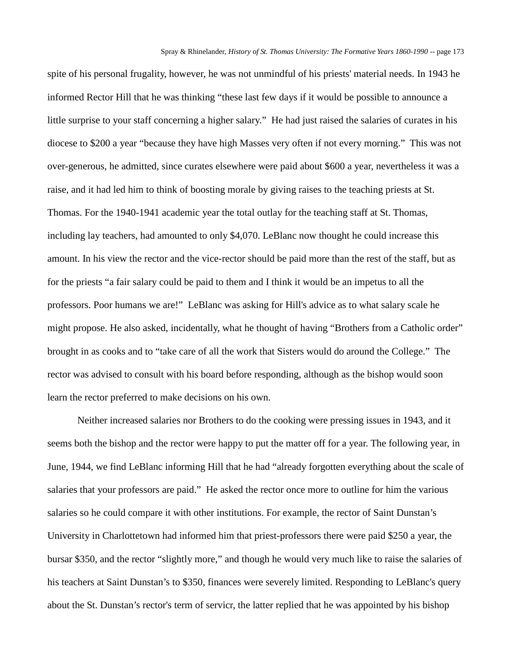spite of his personal frugality, however, he was not unmindful of his priests' material needs. In 1943 he informed Rector Hill that he was thinking "these last few days if it would be possible to announce a little surprise to your staff concerning a higher salary." He had just raised the salaries of curates in his diocese to \$200 a year "because they have high Masses very often if not every morning." This was not over-generous, he admitted, since curates elsewhere were paid about \$600 a year, nevertheless it was a raise, and it had led him to think of boosting morale by giving raises to the teaching priests at St. Thomas. For the 1940-1941 academic year the total outlay for the teaching staff at St. Thomas, including lay teachers, had amounted to only \$4,070. LeBlanc now thought he could increase this amount. In his view the rector and the vice-rector should be paid more than the rest of the staff, but as for the priests "a fair salary could be paid to them and I think it would be an impetus to all the professors. Poor humans we are!" LeBlanc was asking for Hill's advice as to what salary scale he might propose. He also asked, incidentally, what he thought of having "Brothers from a Catholic order" brought in as cooks and to "take care of all the work that Sisters would do around the College." The rector was advised to consult with his board before responding, although as the bishop would soon learn the rector preferred to make decisions on his own.

Neither increased salaries nor Brothers to do the cooking were pressing issues in 1943, and it seems both the bishop and the rector were happy to put the matter off for a year. The following year, in June, 1944, we find LeBlanc informing Hill that he had "already forgotten everything about the scale of salaries that your professors are paid." He asked the rector once more to outline for him the various salaries so he could compare it with other institutions. For example, the rector of Saint Dunstan's University in Charlottetown had informed him that priest-professors there were paid \$250 a year, the bursar \$350, and the rector "slightly more," and though he would very much like to raise the salaries of his teachers at Saint Dunstan's to \$350, finances were severely limited. Responding to LeBlanc's query about the St. Dunstan's rector's term of servicr, the latter replied that he was appointed by his bishop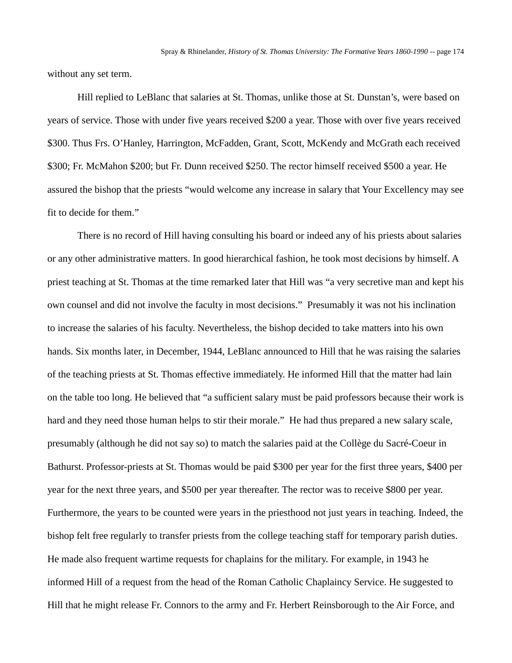without any set term.

Hill replied to LeBlanc that salaries at St. Thomas, unlike those at St. Dunstan's, were based on years of service. Those with under five years received \$200 a year. Those with over five years received \$300. Thus Frs. O'Hanley, Harrington, McFadden, Grant, Scott, McKendy and McGrath each received \$300; Fr. McMahon \$200; but Fr. Dunn received \$250. The rector himself received \$500 a year. He assured the bishop that the priests "would welcome any increase in salary that Your Excellency may see fit to decide for them."

There is no record of Hill having consulting his board or indeed any of his priests about salaries or any other administrative matters. In good hierarchical fashion, he took most decisions by himself. A priest teaching at St. Thomas at the time remarked later that Hill was "a very secretive man and kept his own counsel and did not involve the faculty in most decisions." Presumably it was not his inclination to increase the salaries of his faculty. Nevertheless, the bishop decided to take matters into his own hands. Six months later, in December, 1944, LeBlanc announced to Hill that he was raising the salaries of the teaching priests at St. Thomas effective immediately. He informed Hill that the matter had lain on the table too long. He believed that "a sufficient salary must be paid professors because their work is hard and they need those human helps to stir their morale." He had thus prepared a new salary scale, presumably (although he did not say so) to match the salaries paid at the Collège du Sacré-Coeur in Bathurst. Professor-priests at St. Thomas would be paid \$300 per year for the first three years, \$400 per year for the next three years, and \$500 per year thereafter. The rector was to receive \$800 per year. Furthermore, the years to be counted were years in the priesthood not just years in teaching. Indeed, the bishop felt free regularly to transfer priests from the college teaching staff for temporary parish duties. He made also frequent wartime requests for chaplains for the military. For example, in 1943 he informed Hill of a request from the head of the Roman Catholic Chaplaincy Service. He suggested to Hill that he might release Fr. Connors to the army and Fr. Herbert Reinsborough to the Air Force, and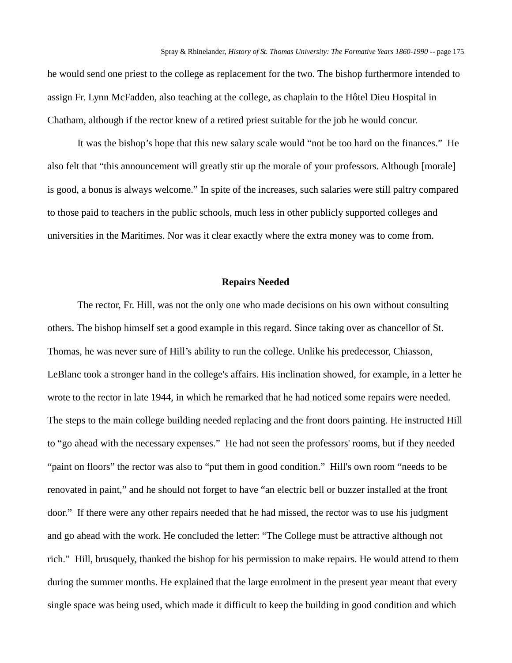he would send one priest to the college as replacement for the two. The bishop furthermore intended to assign Fr. Lynn McFadden, also teaching at the college, as chaplain to the Hôtel Dieu Hospital in Chatham, although if the rector knew of a retired priest suitable for the job he would concur.

It was the bishop's hope that this new salary scale would "not be too hard on the finances." He also felt that "this announcement will greatly stir up the morale of your professors. Although [morale] is good, a bonus is always welcome." In spite of the increases, such salaries were still paltry compared to those paid to teachers in the public schools, much less in other publicly supported colleges and universities in the Maritimes. Nor was it clear exactly where the extra money was to come from.

#### **Repairs Needed**

The rector, Fr. Hill, was not the only one who made decisions on his own without consulting others. The bishop himself set a good example in this regard. Since taking over as chancellor of St. Thomas, he was never sure of Hill's ability to run the college. Unlike his predecessor, Chiasson, LeBlanc took a stronger hand in the college's affairs. His inclination showed, for example, in a letter he wrote to the rector in late 1944, in which he remarked that he had noticed some repairs were needed. The steps to the main college building needed replacing and the front doors painting. He instructed Hill to "go ahead with the necessary expenses." He had not seen the professors' rooms, but if they needed "paint on floors" the rector was also to "put them in good condition." Hill's own room "needs to be renovated in paint," and he should not forget to have "an electric bell or buzzer installed at the front door." If there were any other repairs needed that he had missed, the rector was to use his judgment and go ahead with the work. He concluded the letter: "The College must be attractive although not rich." Hill, brusquely, thanked the bishop for his permission to make repairs. He would attend to them during the summer months. He explained that the large enrolment in the present year meant that every single space was being used, which made it difficult to keep the building in good condition and which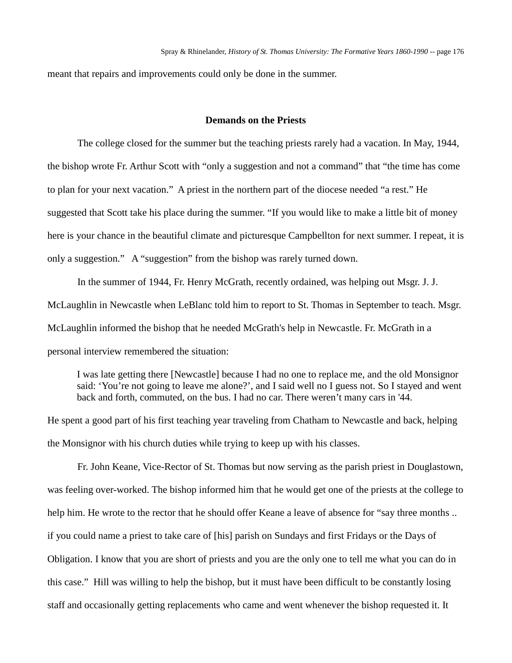meant that repairs and improvements could only be done in the summer.

## **Demands on the Priests**

The college closed for the summer but the teaching priests rarely had a vacation. In May, 1944, the bishop wrote Fr. Arthur Scott with "only a suggestion and not a command" that "the time has come to plan for your next vacation." A priest in the northern part of the diocese needed "a rest." He suggested that Scott take his place during the summer. "If you would like to make a little bit of money here is your chance in the beautiful climate and picturesque Campbellton for next summer. I repeat, it is only a suggestion." A "suggestion" from the bishop was rarely turned down.

In the summer of 1944, Fr. Henry McGrath, recently ordained, was helping out Msgr. J. J. McLaughlin in Newcastle when LeBlanc told him to report to St. Thomas in September to teach. Msgr. McLaughlin informed the bishop that he needed McGrath's help in Newcastle. Fr. McGrath in a personal interview remembered the situation:

I was late getting there [Newcastle] because I had no one to replace me, and the old Monsignor said: 'You're not going to leave me alone?', and I said well no I guess not. So I stayed and went back and forth, commuted, on the bus. I had no car. There weren't many cars in '44.

He spent a good part of his first teaching year traveling from Chatham to Newcastle and back, helping the Monsignor with his church duties while trying to keep up with his classes.

Fr. John Keane, Vice-Rector of St. Thomas but now serving as the parish priest in Douglastown, was feeling over-worked. The bishop informed him that he would get one of the priests at the college to help him. He wrote to the rector that he should offer Keane a leave of absence for "say three months ... if you could name a priest to take care of [his] parish on Sundays and first Fridays or the Days of Obligation. I know that you are short of priests and you are the only one to tell me what you can do in this case." Hill was willing to help the bishop, but it must have been difficult to be constantly losing staff and occasionally getting replacements who came and went whenever the bishop requested it. It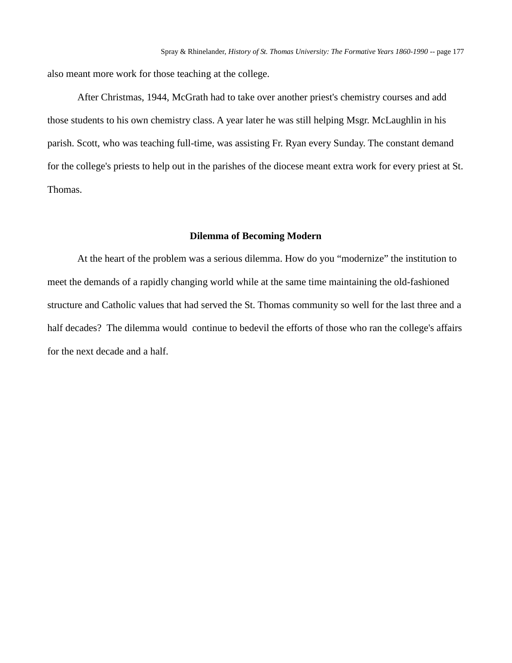also meant more work for those teaching at the college.

After Christmas, 1944, McGrath had to take over another priest's chemistry courses and add those students to his own chemistry class. A year later he was still helping Msgr. McLaughlin in his parish. Scott, who was teaching full-time, was assisting Fr. Ryan every Sunday. The constant demand for the college's priests to help out in the parishes of the diocese meant extra work for every priest at St. Thomas.

## **Dilemma of Becoming Modern**

At the heart of the problem was a serious dilemma. How do you "modernize" the institution to meet the demands of a rapidly changing world while at the same time maintaining the old-fashioned structure and Catholic values that had served the St. Thomas community so well for the last three and a half decades? The dilemma would continue to bedevil the efforts of those who ran the college's affairs for the next decade and a half.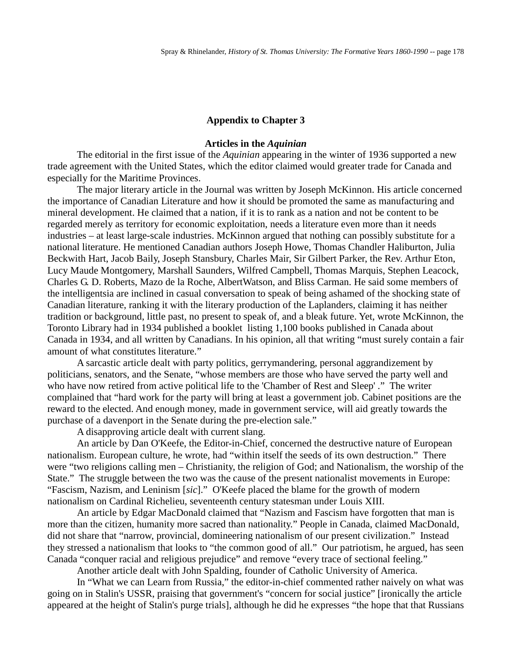## **Appendix to Chapter 3**

## **Articles in the** *Aquinian*

The editorial in the first issue of the *Aquinian* appearing in the winter of 1936 supported a new trade agreement with the United States, which the editor claimed would greater trade for Canada and especially for the Maritime Provinces.

The major literary article in the Journal was written by Joseph McKinnon. His article concerned the importance of Canadian Literature and how it should be promoted the same as manufacturing and mineral development. He claimed that a nation, if it is to rank as a nation and not be content to be regarded merely as territory for economic exploitation, needs a literature even more than it needs industries – at least large-scale industries. McKinnon argued that nothing can possibly substitute for a national literature. He mentioned Canadian authors Joseph Howe, Thomas Chandler Haliburton, Julia Beckwith Hart, Jacob Baily, Joseph Stansbury, Charles Mair, Sir Gilbert Parker, the Rev. Arthur Eton, Lucy Maude Montgomery, Marshall Saunders, Wilfred Campbell, Thomas Marquis, Stephen Leacock, Charles G. D. Roberts, Mazo de la Roche, AlbertWatson, and Bliss Carman. He said some members of the intelligentsia are inclined in casual conversation to speak of being ashamed of the shocking state of Canadian literature, ranking it with the literary production of the Laplanders, claiming it has neither tradition or background, little past, no present to speak of, and a bleak future. Yet, wrote McKinnon, the Toronto Library had in 1934 published a booklet listing 1,100 books published in Canada about Canada in 1934, and all written by Canadians. In his opinion, all that writing "must surely contain a fair amount of what constitutes literature."

A sarcastic article dealt with party politics, gerrymandering, personal aggrandizement by politicians, senators, and the Senate, "whose members are those who have served the party well and who have now retired from active political life to the 'Chamber of Rest and Sleep' ." The writer complained that "hard work for the party will bring at least a government job. Cabinet positions are the reward to the elected. And enough money, made in government service, will aid greatly towards the purchase of a davenport in the Senate during the pre-election sale."

A disapproving article dealt with current slang.

An article by Dan O'Keefe, the Editor-in-Chief, concerned the destructive nature of European nationalism. European culture, he wrote, had "within itself the seeds of its own destruction." There were "two religions calling men – Christianity, the religion of God; and Nationalism, the worship of the State." The struggle between the two was the cause of the present nationalist movements in Europe: "Fascism, Nazism, and Leninism [*sic*]." O'Keefe placed the blame for the growth of modern nationalism on Cardinal Richelieu, seventeenth century statesman under Louis XIII.

An article by Edgar MacDonald claimed that "Nazism and Fascism have forgotten that man is more than the citizen, humanity more sacred than nationality." People in Canada, claimed MacDonald, did not share that "narrow, provincial, domineering nationalism of our present civilization." Instead they stressed a nationalism that looks to "the common good of all." Our patriotism, he argued, has seen Canada "conquer racial and religious prejudice" and remove "every trace of sectional feeling."

Another article dealt with John Spalding, founder of Catholic University of America.

In "What we can Learn from Russia," the editor-in-chief commented rather naively on what was going on in Stalin's USSR, praising that government's "concern for social justice" [ironically the article appeared at the height of Stalin's purge trials], although he did he expresses "the hope that that Russians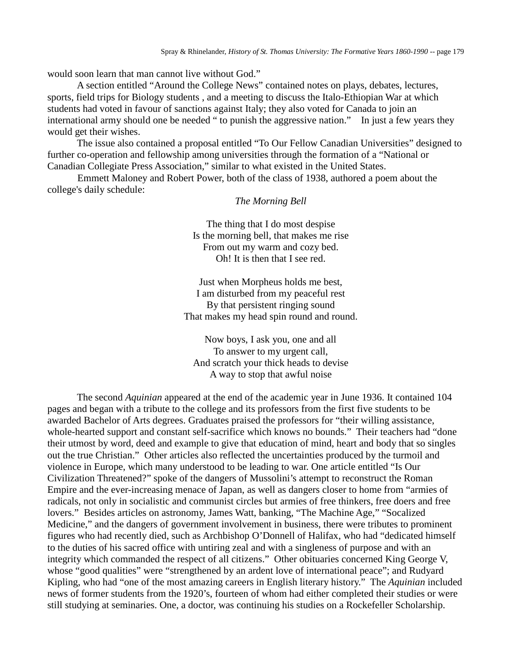would soon learn that man cannot live without God."

A section entitled "Around the College News" contained notes on plays, debates, lectures, sports, field trips for Biology students , and a meeting to discuss the Italo-Ethiopian War at which students had voted in favour of sanctions against Italy; they also voted for Canada to join an international army should one be needed " to punish the aggressive nation." In just a few years they would get their wishes.

The issue also contained a proposal entitled "To Our Fellow Canadian Universities" designed to further co-operation and fellowship among universities through the formation of a "National or Canadian Collegiate Press Association," similar to what existed in the United States.

Emmett Maloney and Robert Power, both of the class of 1938, authored a poem about the college's daily schedule:

*The Morning Bell*

The thing that I do most despise Is the morning bell, that makes me rise From out my warm and cozy bed. Oh! It is then that I see red.

Just when Morpheus holds me best, I am disturbed from my peaceful rest By that persistent ringing sound That makes my head spin round and round.

Now boys, I ask you, one and all To answer to my urgent call, And scratch your thick heads to devise A way to stop that awful noise

The second *Aquinian* appeared at the end of the academic year in June 1936. It contained 104 pages and began with a tribute to the college and its professors from the first five students to be awarded Bachelor of Arts degrees. Graduates praised the professors for "their willing assistance, whole-hearted support and constant self-sacrifice which knows no bounds." Their teachers had "done their utmost by word, deed and example to give that education of mind, heart and body that so singles out the true Christian." Other articles also reflected the uncertainties produced by the turmoil and violence in Europe, which many understood to be leading to war. One article entitled "Is Our Civilization Threatened?" spoke of the dangers of Mussolini's attempt to reconstruct the Roman Empire and the ever-increasing menace of Japan, as well as dangers closer to home from "armies of radicals, not only in socialistic and communist circles but armies of free thinkers, free doers and free lovers." Besides articles on astronomy, James Watt, banking, "The Machine Age," "Socalized Medicine," and the dangers of government involvement in business, there were tributes to prominent figures who had recently died, such as Archbishop O'Donnell of Halifax, who had "dedicated himself to the duties of his sacred office with untiring zeal and with a singleness of purpose and with an integrity which commanded the respect of all citizens." Other obituaries concerned King George V, whose "good qualities" were "strengthened by an ardent love of international peace"; and Rudyard Kipling, who had "one of the most amazing careers in English literary history." The *Aquinian* included news of former students from the 1920's, fourteen of whom had either completed their studies or were still studying at seminaries. One, a doctor, was continuing his studies on a Rockefeller Scholarship.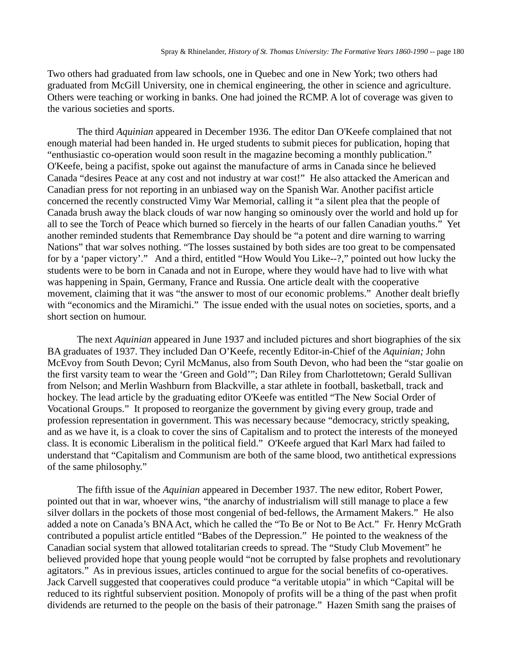Two others had graduated from law schools, one in Quebec and one in New York; two others had graduated from McGill University, one in chemical engineering, the other in science and agriculture. Others were teaching or working in banks. One had joined the RCMP. A lot of coverage was given to the various societies and sports.

The third *Aquinian* appeared in December 1936. The editor Dan O'Keefe complained that not enough material had been handed in. He urged students to submit pieces for publication, hoping that "enthusiastic co-operation would soon result in the magazine becoming a monthly publication." O'Keefe, being a pacifist, spoke out against the manufacture of arms in Canada since he believed Canada "desires Peace at any cost and not industry at war cost!" He also attacked the American and Canadian press for not reporting in an unbiased way on the Spanish War. Another pacifist article concerned the recently constructed Vimy War Memorial, calling it "a silent plea that the people of Canada brush away the black clouds of war now hanging so ominously over the world and hold up for all to see the Torch of Peace which burned so fiercely in the hearts of our fallen Canadian youths." Yet another reminded students that Remembrance Day should be "a potent and dire warning to warring Nations" that war solves nothing. "The losses sustained by both sides are too great to be compensated for by a 'paper victory'." And a third, entitled "How Would You Like--?," pointed out how lucky the students were to be born in Canada and not in Europe, where they would have had to live with what was happening in Spain, Germany, France and Russia. One article dealt with the cooperative movement, claiming that it was "the answer to most of our economic problems." Another dealt briefly with "economics and the Miramichi." The issue ended with the usual notes on societies, sports, and a short section on humour.

The next *Aquinian* appeared in June 1937 and included pictures and short biographies of the six BA graduates of 1937. They included Dan O'Keefe, recently Editor-in-Chief of the *Aquinian;* John McEvoy from South Devon; Cyril McManus, also from South Devon, who had been the "star goalie on the first varsity team to wear the 'Green and Gold'"; Dan Riley from Charlottetown; Gerald Sullivan from Nelson; and Merlin Washburn from Blackville, a star athlete in football, basketball, track and hockey. The lead article by the graduating editor O'Keefe was entitled "The New Social Order of Vocational Groups." It proposed to reorganize the government by giving every group, trade and profession representation in government. This was necessary because "democracy, strictly speaking, and as we have it, is a cloak to cover the sins of Capitalism and to protect the interests of the moneyed class. It is economic Liberalism in the political field." O'Keefe argued that Karl Marx had failed to understand that "Capitalism and Communism are both of the same blood, two antithetical expressions of the same philosophy."

The fifth issue of the *Aquinian* appeared in December 1937. The new editor, Robert Power, pointed out that in war, whoever wins, "the anarchy of industrialism will still manage to place a few silver dollars in the pockets of those most congenial of bed-fellows, the Armament Makers." He also added a note on Canada's BNA Act, which he called the "To Be or Not to Be Act." Fr. Henry McGrath contributed a populist article entitled "Babes of the Depression." He pointed to the weakness of the Canadian social system that allowed totalitarian creeds to spread. The "Study Club Movement" he believed provided hope that young people would "not be corrupted by false prophets and revolutionary agitators." As in previous issues, articles continued to argue for the social benefits of co-operatives. Jack Carvell suggested that cooperatives could produce "a veritable utopia" in which "Capital will be reduced to its rightful subservient position. Monopoly of profits will be a thing of the past when profit dividends are returned to the people on the basis of their patronage." Hazen Smith sang the praises of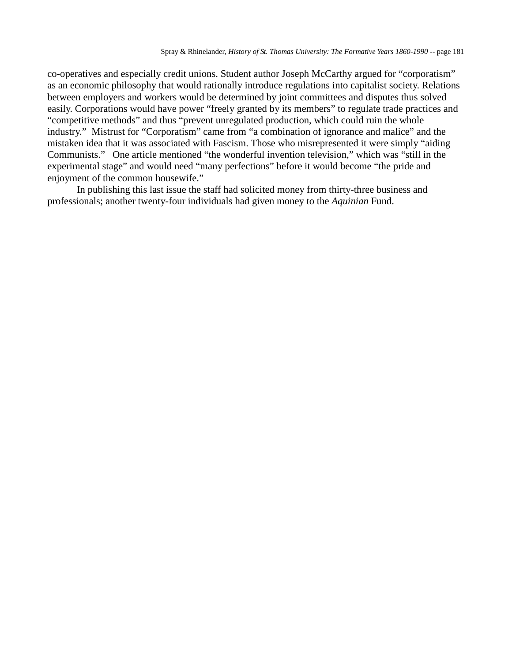co-operatives and especially credit unions. Student author Joseph McCarthy argued for "corporatism" as an economic philosophy that would rationally introduce regulations into capitalist society. Relations between employers and workers would be determined by joint committees and disputes thus solved easily. Corporations would have power "freely granted by its members" to regulate trade practices and "competitive methods" and thus "prevent unregulated production, which could ruin the whole industry." Mistrust for "Corporatism" came from "a combination of ignorance and malice" and the mistaken idea that it was associated with Fascism. Those who misrepresented it were simply "aiding Communists." One article mentioned "the wonderful invention television," which was "still in the experimental stage" and would need "many perfections" before it would become "the pride and enjoyment of the common housewife."

In publishing this last issue the staff had solicited money from thirty-three business and professionals; another twenty-four individuals had given money to the *Aquinian* Fund.